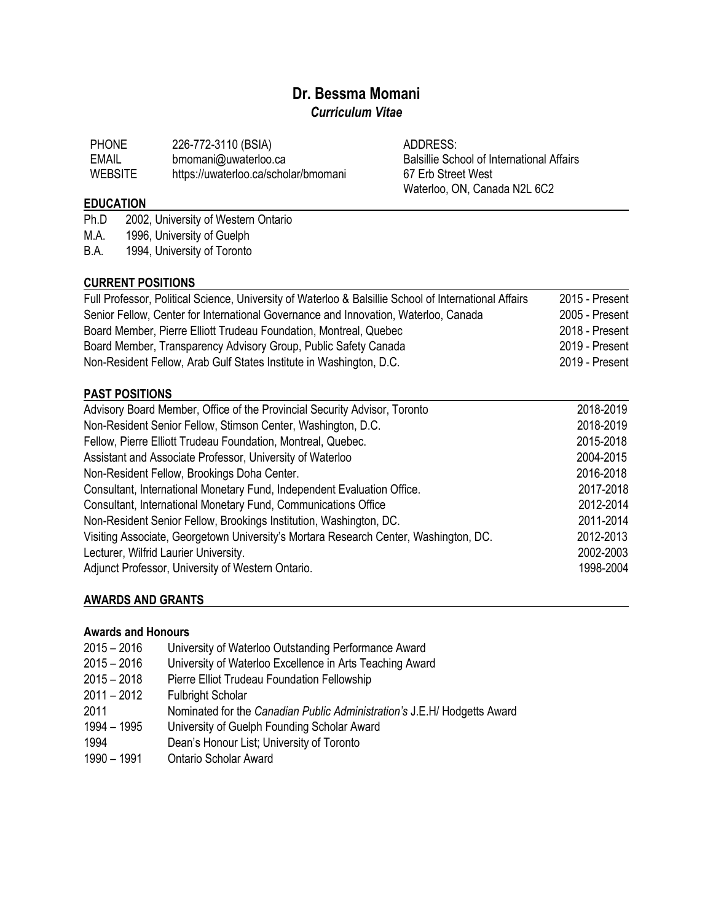# **Dr. Bessma Momani** *Curriculum Vitae*

| <b>PHONE</b>   | 226-772-3110 (BSIA)                  |
|----------------|--------------------------------------|
| EMAIL          | bmomani@uwaterloo.ca                 |
| <b>WEBSITE</b> | https://uwaterloo.ca/scholar/bmomani |

ADDRESS: Balsillie School of International Affairs 67 Erb Street West Waterloo, ON, Canada N2L 6C2

# **EDUCATION**

- Ph.D 2002, University of Western Ontario
- M.A. 1996, University of Guelph
- B.A. 1994, University of Toronto

# **CURRENT POSITIONS**

| Full Professor, Political Science, University of Waterloo & Balsillie School of International Affairs | 2015 - Present |
|-------------------------------------------------------------------------------------------------------|----------------|
| Senior Fellow, Center for International Governance and Innovation, Waterloo, Canada                   | 2005 - Present |
| Board Member, Pierre Elliott Trudeau Foundation, Montreal, Quebec                                     | 2018 - Present |
| Board Member, Transparency Advisory Group, Public Safety Canada                                       | 2019 - Present |
| Non-Resident Fellow, Arab Gulf States Institute in Washington, D.C.                                   | 2019 - Present |

# **PAST POSITIONS**

| 2018-2019 |
|-----------|
| 2018-2019 |
| 2015-2018 |
| 2004-2015 |
| 2016-2018 |
| 2017-2018 |
| 2012-2014 |
| 2011-2014 |
| 2012-2013 |
| 2002-2003 |
| 1998-2004 |
|           |

# **AWARDS AND GRANTS**

### **Awards and Honours**

 – 2016 University of Waterloo Outstanding Performance Award – 2016 University of Waterloo Excellence in Arts Teaching Award 2015 – 2018 Pierre Elliot Trudeau Foundation Fellowship<br>2011 – 2012 Fulbright Scholar **Fulbright Scholar**  Nominated for the *Canadian Public Administration's* J.E.H/ Hodgetts Award – 1995 University of Guelph Founding Scholar Award Dean's Honour List; University of Toronto – 1991 Ontario Scholar Award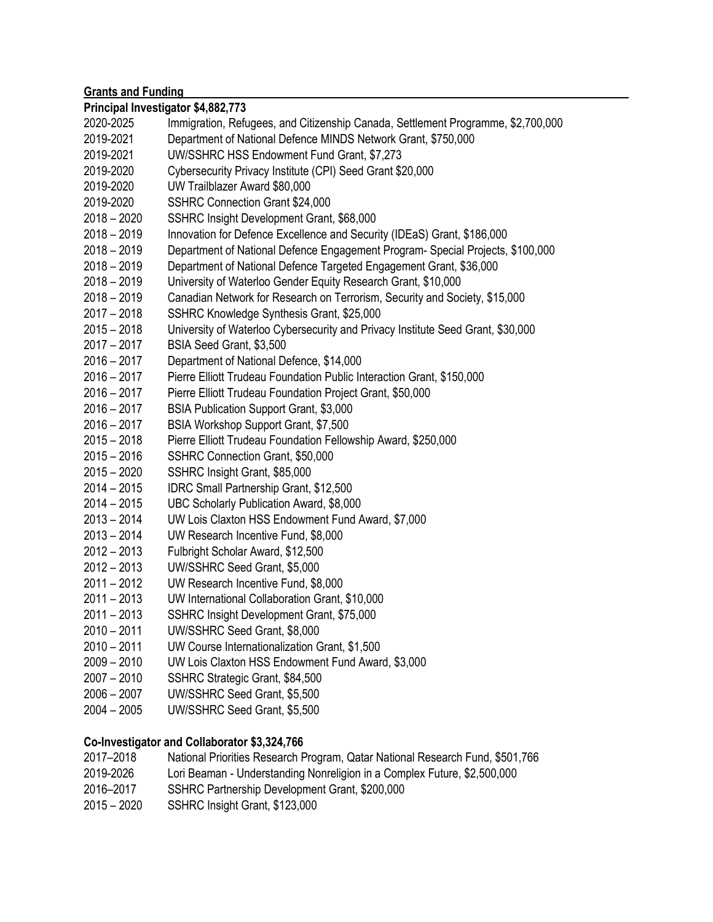| <b>Grants and Funding</b> |                                                                                  |  |
|---------------------------|----------------------------------------------------------------------------------|--|
|                           | Principal Investigator \$4,882,773                                               |  |
| 2020-2025                 | Immigration, Refugees, and Citizenship Canada, Settlement Programme, \$2,700,000 |  |
| 2019-2021                 | Department of National Defence MINDS Network Grant, \$750,000                    |  |
| 2019-2021                 | UW/SSHRC HSS Endowment Fund Grant, \$7,273                                       |  |
| 2019-2020                 | Cybersecurity Privacy Institute (CPI) Seed Grant \$20,000                        |  |
| 2019-2020                 | UW Trailblazer Award \$80,000                                                    |  |
| 2019-2020                 | SSHRC Connection Grant \$24,000                                                  |  |
| $2018 - 2020$             | SSHRC Insight Development Grant, \$68,000                                        |  |
| $2018 - 2019$             | Innovation for Defence Excellence and Security (IDEaS) Grant, \$186,000          |  |
| $2018 - 2019$             | Department of National Defence Engagement Program- Special Projects, \$100,000   |  |
| $2018 - 2019$             | Department of National Defence Targeted Engagement Grant, \$36,000               |  |
| $2018 - 2019$             | University of Waterloo Gender Equity Research Grant, \$10,000                    |  |
| $2018 - 2019$             | Canadian Network for Research on Terrorism, Security and Society, \$15,000       |  |
| $2017 - 2018$             | SSHRC Knowledge Synthesis Grant, \$25,000                                        |  |
| $2015 - 2018$             | University of Waterloo Cybersecurity and Privacy Institute Seed Grant, \$30,000  |  |
| $2017 - 2017$             | BSIA Seed Grant, \$3,500                                                         |  |
| $2016 - 2017$             | Department of National Defence, \$14,000                                         |  |
| $2016 - 2017$             | Pierre Elliott Trudeau Foundation Public Interaction Grant, \$150,000            |  |
| $2016 - 2017$             | Pierre Elliott Trudeau Foundation Project Grant, \$50,000                        |  |
| $2016 - 2017$             | BSIA Publication Support Grant, \$3,000                                          |  |
| $2016 - 2017$             | BSIA Workshop Support Grant, \$7,500                                             |  |
| $2015 - 2018$             | Pierre Elliott Trudeau Foundation Fellowship Award, \$250,000                    |  |
| $2015 - 2016$             | SSHRC Connection Grant, \$50,000                                                 |  |
| $2015 - 2020$             | SSHRC Insight Grant, \$85,000                                                    |  |
| $2014 - 2015$             | <b>IDRC Small Partnership Grant, \$12,500</b>                                    |  |
| $2014 - 2015$             | UBC Scholarly Publication Award, \$8,000                                         |  |
| $2013 - 2014$             | UW Lois Claxton HSS Endowment Fund Award, \$7,000                                |  |
| $2013 - 2014$             | UW Research Incentive Fund, \$8,000                                              |  |
| $2012 - 2013$             | Fulbright Scholar Award, \$12,500                                                |  |
| $2012 - 2013$             | UW/SSHRC Seed Grant, \$5,000                                                     |  |
| $2011 - 2012$             | UW Research Incentive Fund, \$8,000                                              |  |
| 2011 – 2013               | UW International Collaboration Grant, \$10,000                                   |  |
| $2011 - 2013$             | SSHRC Insight Development Grant, \$75,000                                        |  |
| $2010 - 2011$             | UW/SSHRC Seed Grant, \$8,000                                                     |  |
| $2010 - 2011$             | UW Course Internationalization Grant, \$1,500                                    |  |
| $2009 - 2010$             | UW Lois Claxton HSS Endowment Fund Award, \$3,000                                |  |
| $2007 - 2010$             | SSHRC Strategic Grant, \$84,500                                                  |  |
| $2006 - 2007$             | UW/SSHRC Seed Grant, \$5,500                                                     |  |
| $2004 - 2005$             | UW/SSHRC Seed Grant, \$5,500                                                     |  |
|                           |                                                                                  |  |

# **Co-Investigator and Collaborator \$3,324,766**

| 2017–2018 | National Priorities Research Program, Qatar National Research Fund, \$501,766    |
|-----------|----------------------------------------------------------------------------------|
| 2019-2026 | Lori Beaman - Understanding Nonreligion in a Complex Future, \$2,500,000         |
| 2016–2017 | SSHRC Partnership Development Grant, \$200,000                                   |
| $\sim$    | $\begin{array}{ccc} 0 & 0 & 0 & 0 \\ 0 & 0 & 0 & 0 \\ 0 & 0 & 0 & 0 \end{array}$ |

– 2020 SSHRC Insight Grant, \$123,000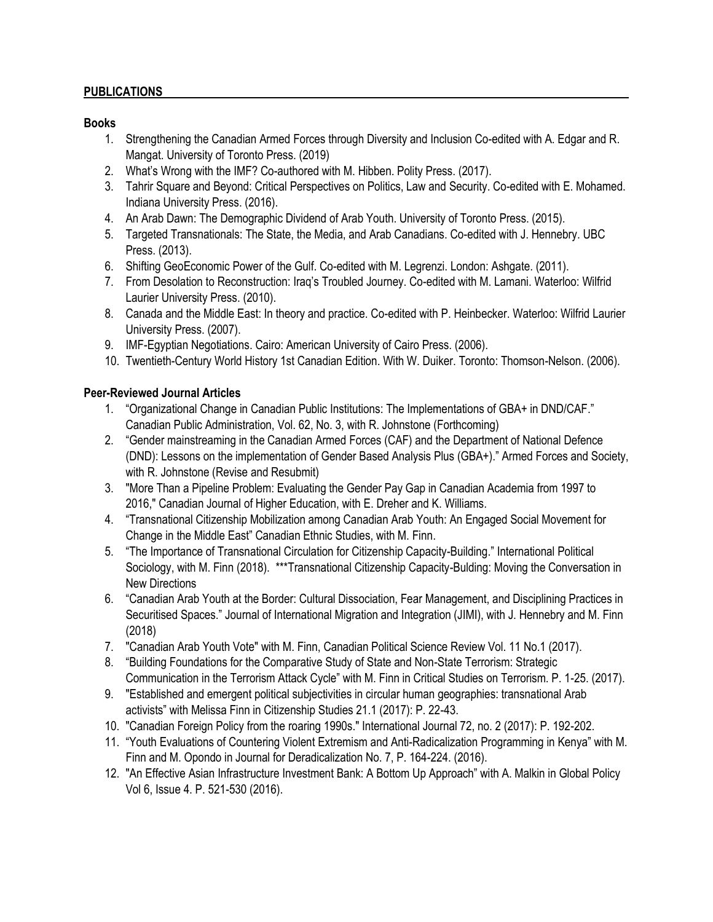### **PUBLICATIONS**

#### **Books**

- 1. Strengthening the Canadian Armed Forces through Diversity and Inclusion Co-edited with A. Edgar and R. Mangat. University of Toronto Press. (2019)
- 2. What's Wrong with the IMF? Co-authored with M. Hibben. Polity Press. (2017).
- 3. Tahrir Square and Beyond: Critical Perspectives on Politics, Law and Security. Co-edited with E. Mohamed. Indiana University Press. (2016).
- 4. An Arab Dawn: The Demographic Dividend of Arab Youth. University of Toronto Press. (2015).
- 5. Targeted Transnationals: The State, the Media, and Arab Canadians. Co-edited with J. Hennebry. UBC Press. (2013).
- 6. Shifting GeoEconomic Power of the Gulf. Co-edited with M. Legrenzi. London: Ashgate. (2011).
- 7. From Desolation to Reconstruction: Iraq's Troubled Journey. Co-edited with M. Lamani. Waterloo: Wilfrid Laurier University Press. (2010).
- 8. Canada and the Middle East: In theory and practice. Co-edited with P. Heinbecker. Waterloo: Wilfrid Laurier University Press. (2007).
- 9. IMF-Egyptian Negotiations. Cairo: American University of Cairo Press. (2006).
- 10. Twentieth-Century World History 1st Canadian Edition. With W. Duiker. Toronto: Thomson-Nelson. (2006).

# **Peer-Reviewed Journal Articles**

- 1. "Organizational Change in Canadian Public Institutions: The Implementations of GBA+ in DND/CAF." Canadian Public Administration, Vol. 62, No. 3, with R. Johnstone (Forthcoming)
- 2. "Gender mainstreaming in the Canadian Armed Forces (CAF) and the Department of National Defence (DND): Lessons on the implementation of Gender Based Analysis Plus (GBA+)." Armed Forces and Society, with R. Johnstone (Revise and Resubmit)
- 3. "More Than a Pipeline Problem: Evaluating the Gender Pay Gap in Canadian Academia from 1997 to 2016," Canadian Journal of Higher Education, with E. Dreher and K. Williams.
- 4. "Transnational Citizenship Mobilization among Canadian Arab Youth: An Engaged Social Movement for Change in the Middle East" Canadian Ethnic Studies, with M. Finn.
- 5. "The Importance of Transnational Circulation for Citizenship Capacity-Building." International Political Sociology, with M. Finn (2018). \*\*\*Transnational Citizenship Capacity-Bulding: Moving the Conversation in New Directions
- 6. "Canadian Arab Youth at the Border: Cultural Dissociation, Fear Management, and Disciplining Practices in Securitised Spaces." Journal of International Migration and Integration (JIMI), with J. Hennebry and M. Finn (2018)
- 7. "Canadian Arab Youth Vote" with M. Finn, Canadian Political Science Review Vol. 11 No.1 (2017).
- 8. "Building Foundations for the Comparative Study of State and Non-State Terrorism: Strategic Communication in the Terrorism Attack Cycle" with M. Finn in Critical Studies on Terrorism. P. 1-25. (2017).
- 9. "Established and emergent political subjectivities in circular human geographies: transnational Arab activists" with Melissa Finn in Citizenship Studies 21.1 (2017): P. 22-43.
- 10. "Canadian Foreign Policy from the roaring 1990s." International Journal 72, no. 2 (2017): P. 192-202.
- 11. "Youth Evaluations of Countering Violent Extremism and Anti-Radicalization Programming in Kenya" with M. Finn and M. Opondo in Journal for Deradicalization No. 7, P. 164-224. (2016).
- 12. "An Effective Asian Infrastructure Investment Bank: A Bottom Up Approach" with A. Malkin in Global Policy Vol 6, Issue 4. P. 521-530 (2016).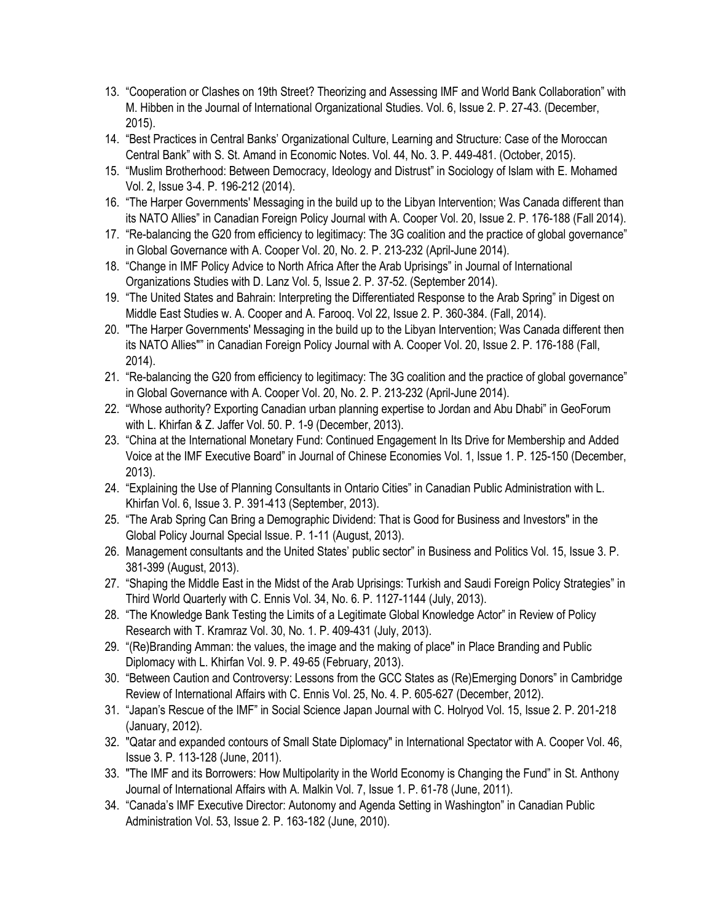- 13. "Cooperation or Clashes on 19th Street? Theorizing and Assessing IMF and World Bank Collaboration" with M. Hibben in the Journal of International Organizational Studies. Vol. 6, Issue 2. P. 27-43. (December, 2015).
- 14. "Best Practices in Central Banks' Organizational Culture, Learning and Structure: Case of the Moroccan Central Bank" with S. St. Amand in Economic Notes. Vol. 44, No. 3. P. 449-481. (October, 2015).
- 15. "Muslim Brotherhood: Between Democracy, Ideology and Distrust" in Sociology of Islam with E. Mohamed Vol. 2, Issue 3-4. P. 196-212 (2014).
- 16. "The Harper Governments' Messaging in the build up to the Libyan Intervention; Was Canada different than its NATO Allies" in Canadian Foreign Policy Journal with A. Cooper Vol. 20, Issue 2. P. 176-188 (Fall 2014).
- 17. "Re-balancing the G20 from efficiency to legitimacy: The 3G coalition and the practice of global governance" in Global Governance with A. Cooper Vol. 20, No. 2. P. 213-232 (April-June 2014).
- 18. "Change in IMF Policy Advice to North Africa After the Arab Uprisings" in Journal of International Organizations Studies with D. Lanz Vol. 5, Issue 2. P. 37-52. (September 2014).
- 19. "The United States and Bahrain: Interpreting the Differentiated Response to the Arab Spring" in Digest on Middle East Studies w. A. Cooper and A. Farooq. Vol 22, Issue 2. P. 360-384. (Fall, 2014).
- 20. "The Harper Governments' Messaging in the build up to the Libyan Intervention; Was Canada different then its NATO Allies"" in Canadian Foreign Policy Journal with A. Cooper Vol. 20, Issue 2. P. 176-188 (Fall, 2014).
- 21. "Re-balancing the G20 from efficiency to legitimacy: The 3G coalition and the practice of global governance" in Global Governance with A. Cooper Vol. 20, No. 2. P. 213-232 (April-June 2014).
- 22. "Whose authority? Exporting Canadian urban planning expertise to Jordan and Abu Dhabi" in GeoForum with L. Khirfan & Z. Jaffer Vol. 50. P. 1-9 (December, 2013).
- 23. "China at the International Monetary Fund: Continued Engagement In Its Drive for Membership and Added Voice at the IMF Executive Board" in Journal of Chinese Economies Vol. 1, Issue 1. P. 125-150 (December, 2013).
- 24. "Explaining the Use of Planning Consultants in Ontario Cities" in Canadian Public Administration with L. Khirfan Vol. 6, Issue 3. P. 391-413 (September, 2013).
- 25. "The Arab Spring Can Bring a Demographic Dividend: That is Good for Business and Investors" in the Global Policy Journal Special Issue. P. 1-11 (August, 2013).
- 26. Management consultants and the United States' public sector" in Business and Politics Vol. 15, Issue 3. P. 381-399 (August, 2013).
- 27. "Shaping the Middle East in the Midst of the Arab Uprisings: Turkish and Saudi Foreign Policy Strategies" in Third World Quarterly with C. Ennis Vol. 34, No. 6. P. 1127-1144 (July, 2013).
- 28. "The Knowledge Bank Testing the Limits of a Legitimate Global Knowledge Actor" in Review of Policy Research with T. Kramraz Vol. 30, No. 1. P. 409-431 (July, 2013).
- 29. "(Re)Branding Amman: the values, the image and the making of place" in Place Branding and Public Diplomacy with L. Khirfan Vol. 9. P. 49-65 (February, 2013).
- 30. "Between Caution and Controversy: Lessons from the GCC States as (Re)Emerging Donors" in Cambridge Review of International Affairs with C. Ennis Vol. 25, No. 4. P. 605-627 (December, 2012).
- 31. "Japan's Rescue of the IMF" in Social Science Japan Journal with C. Holryod Vol. 15, Issue 2. P. 201-218 (January, 2012).
- 32. "Qatar and expanded contours of Small State Diplomacy" in International Spectator with A. Cooper Vol. 46, Issue 3. P. 113-128 (June, 2011).
- 33. "The IMF and its Borrowers: How Multipolarity in the World Economy is Changing the Fund" in St. Anthony Journal of International Affairs with A. Malkin Vol. 7, Issue 1. P. 61-78 (June, 2011).
- 34. "Canada's IMF Executive Director: Autonomy and Agenda Setting in Washington" in Canadian Public Administration Vol. 53, Issue 2. P. 163-182 (June, 2010).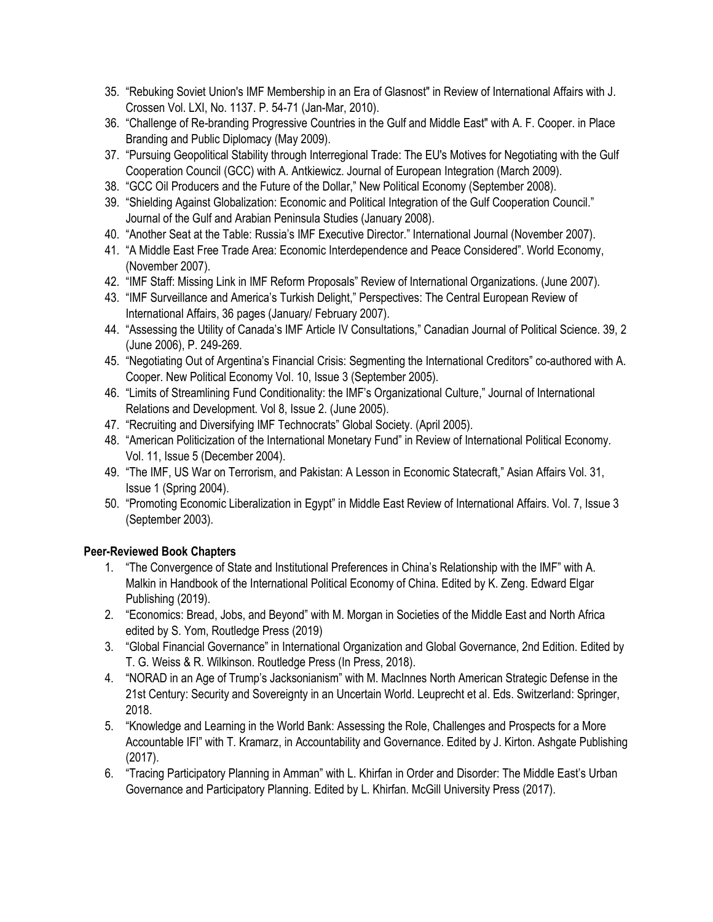- 35. "Rebuking Soviet Union's IMF Membership in an Era of Glasnost" in Review of International Affairs with J. Crossen Vol. LXI, No. 1137. P. 54-71 (Jan-Mar, 2010).
- 36. "Challenge of Re-branding Progressive Countries in the Gulf and Middle East" with A. F. Cooper. in Place Branding and Public Diplomacy (May 2009).
- 37. "Pursuing Geopolitical Stability through Interregional Trade: The EU's Motives for Negotiating with the Gulf Cooperation Council (GCC) with A. Antkiewicz. Journal of European Integration (March 2009).
- 38. "GCC Oil Producers and the Future of the Dollar," New Political Economy (September 2008).
- 39. "Shielding Against Globalization: Economic and Political Integration of the Gulf Cooperation Council." Journal of the Gulf and Arabian Peninsula Studies (January 2008).
- 40. "Another Seat at the Table: Russia's IMF Executive Director." International Journal (November 2007).
- 41. "A Middle East Free Trade Area: Economic Interdependence and Peace Considered". World Economy, (November 2007).
- 42. "IMF Staff: Missing Link in IMF Reform Proposals" Review of International Organizations. (June 2007).
- 43. "IMF Surveillance and America's Turkish Delight," Perspectives: The Central European Review of International Affairs, 36 pages (January/ February 2007).
- 44. "Assessing the Utility of Canada's IMF Article IV Consultations," Canadian Journal of Political Science. 39, 2 (June 2006), P. 249-269.
- 45. "Negotiating Out of Argentina's Financial Crisis: Segmenting the International Creditors" co-authored with A. Cooper. New Political Economy Vol. 10, Issue 3 (September 2005).
- 46. "Limits of Streamlining Fund Conditionality: the IMF's Organizational Culture," Journal of International Relations and Development. Vol 8, Issue 2. (June 2005).
- 47. "Recruiting and Diversifying IMF Technocrats" Global Society. (April 2005).
- 48. "American Politicization of the International Monetary Fund" in Review of International Political Economy. Vol. 11, Issue 5 (December 2004).
- 49. "The IMF, US War on Terrorism, and Pakistan: A Lesson in Economic Statecraft," Asian Affairs Vol. 31, Issue 1 (Spring 2004).
- 50. "Promoting Economic Liberalization in Egypt" in Middle East Review of International Affairs. Vol. 7, Issue 3 (September 2003).

# **Peer-Reviewed Book Chapters**

- 1. "The Convergence of State and Institutional Preferences in China's Relationship with the IMF" with A. Malkin in Handbook of the International Political Economy of China. Edited by K. Zeng. Edward Elgar Publishing (2019).
- 2. "Economics: Bread, Jobs, and Beyond" with M. Morgan in Societies of the Middle East and North Africa edited by S. Yom, Routledge Press (2019)
- 3. "Global Financial Governance" in International Organization and Global Governance, 2nd Edition. Edited by T. G. Weiss & R. Wilkinson. Routledge Press (In Press, 2018).
- 4. "NORAD in an Age of Trump's Jacksonianism" with M. MacInnes North American Strategic Defense in the 21st Century: Security and Sovereignty in an Uncertain World. Leuprecht et al. Eds. Switzerland: Springer, 2018.
- 5. "Knowledge and Learning in the World Bank: Assessing the Role, Challenges and Prospects for a More Accountable IFI" with T. Kramarz, in Accountability and Governance. Edited by J. Kirton. Ashgate Publishing (2017).
- 6. "Tracing Participatory Planning in Amman" with L. Khirfan in Order and Disorder: The Middle East's Urban Governance and Participatory Planning. Edited by L. Khirfan. McGill University Press (2017).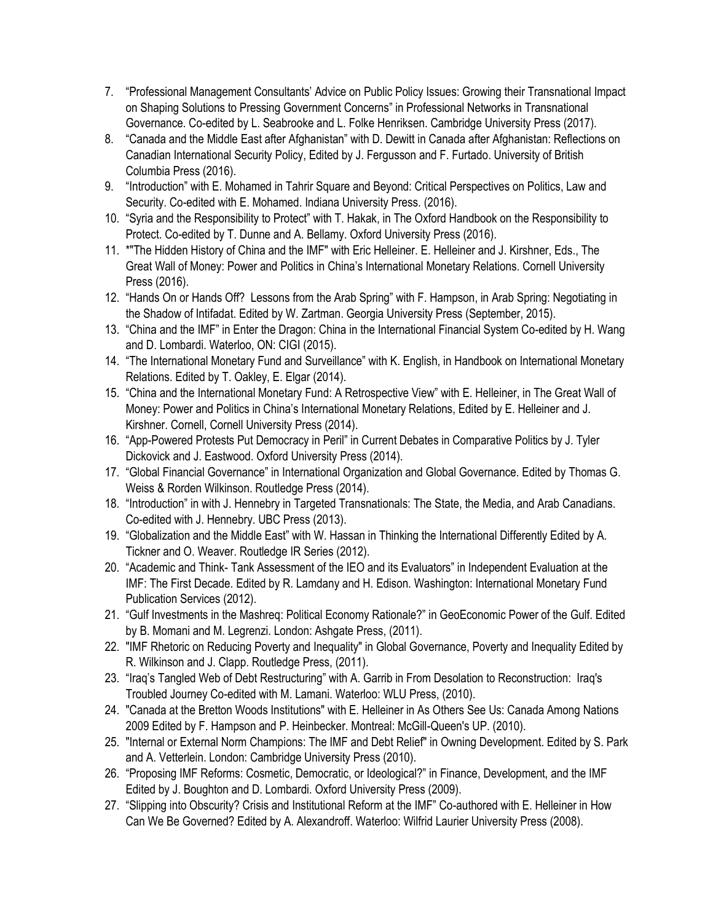- 7. "Professional Management Consultants' Advice on Public Policy Issues: Growing their Transnational Impact on Shaping Solutions to Pressing Government Concerns" in Professional Networks in Transnational Governance. Co-edited by L. Seabrooke and L. Folke Henriksen. Cambridge University Press (2017).
- 8. "Canada and the Middle East after Afghanistan" with D. Dewitt in Canada after Afghanistan: Reflections on Canadian International Security Policy, Edited by J. Fergusson and F. Furtado. University of British Columbia Press (2016).
- 9. "Introduction" with E. Mohamed in Tahrir Square and Beyond: Critical Perspectives on Politics, Law and Security. Co-edited with E. Mohamed. Indiana University Press. (2016).
- 10. "Syria and the Responsibility to Protect" with T. Hakak, in The Oxford Handbook on the Responsibility to Protect. Co-edited by T. Dunne and A. Bellamy. Oxford University Press (2016).
- 11. \*"The Hidden History of China and the IMF" with Eric Helleiner. E. Helleiner and J. Kirshner, Eds., The Great Wall of Money: Power and Politics in China's International Monetary Relations. Cornell University Press (2016).
- 12. "Hands On or Hands Off? Lessons from the Arab Spring" with F. Hampson, in Arab Spring: Negotiating in the Shadow of Intifadat. Edited by W. Zartman. Georgia University Press (September, 2015).
- 13. "China and the IMF" in Enter the Dragon: China in the International Financial System Co-edited by H. Wang and D. Lombardi. Waterloo, ON: CIGI (2015).
- 14. "The International Monetary Fund and Surveillance" with K. English, in Handbook on International Monetary Relations. Edited by T. Oakley, E. Elgar (2014).
- 15. "China and the International Monetary Fund: A Retrospective View" with E. Helleiner, in The Great Wall of Money: Power and Politics in China's International Monetary Relations, Edited by E. Helleiner and J. Kirshner. Cornell, Cornell University Press (2014).
- 16. "App-Powered Protests Put Democracy in Peril" in Current Debates in Comparative Politics by J. Tyler Dickovick and J. Eastwood. Oxford University Press (2014).
- 17. "Global Financial Governance" in International Organization and Global Governance. Edited by Thomas G. Weiss & Rorden Wilkinson. Routledge Press (2014).
- 18. "Introduction" in with J. Hennebry in Targeted Transnationals: The State, the Media, and Arab Canadians. Co-edited with J. Hennebry. UBC Press (2013).
- 19. "Globalization and the Middle East" with W. Hassan in Thinking the International Differently Edited by A. Tickner and O. Weaver. Routledge IR Series (2012).
- 20. "Academic and Think- Tank Assessment of the IEO and its Evaluators" in Independent Evaluation at the IMF: The First Decade. Edited by R. Lamdany and H. Edison. Washington: International Monetary Fund Publication Services (2012).
- 21. "Gulf Investments in the Mashreq: Political Economy Rationale?" in GeoEconomic Power of the Gulf. Edited by B. Momani and M. Legrenzi. London: Ashgate Press, (2011).
- 22. "IMF Rhetoric on Reducing Poverty and Inequality" in Global Governance, Poverty and Inequality Edited by R. Wilkinson and J. Clapp. Routledge Press, (2011).
- 23. "Iraq's Tangled Web of Debt Restructuring" with A. Garrib in From Desolation to Reconstruction: Iraq's Troubled Journey Co-edited with M. Lamani. Waterloo: WLU Press, (2010).
- 24. "Canada at the Bretton Woods Institutions" with E. Helleiner in As Others See Us: Canada Among Nations 2009 Edited by F. Hampson and P. Heinbecker. Montreal: McGill-Queen's UP. (2010).
- 25. "Internal or External Norm Champions: The IMF and Debt Relief" in Owning Development. Edited by S. Park and A. Vetterlein. London: Cambridge University Press (2010).
- 26. "Proposing IMF Reforms: Cosmetic, Democratic, or Ideological?" in Finance, Development, and the IMF Edited by J. Boughton and D. Lombardi. Oxford University Press (2009).
- 27. "Slipping into Obscurity? Crisis and Institutional Reform at the IMF" Co-authored with E. Helleiner in How Can We Be Governed? Edited by A. Alexandroff. Waterloo: Wilfrid Laurier University Press (2008).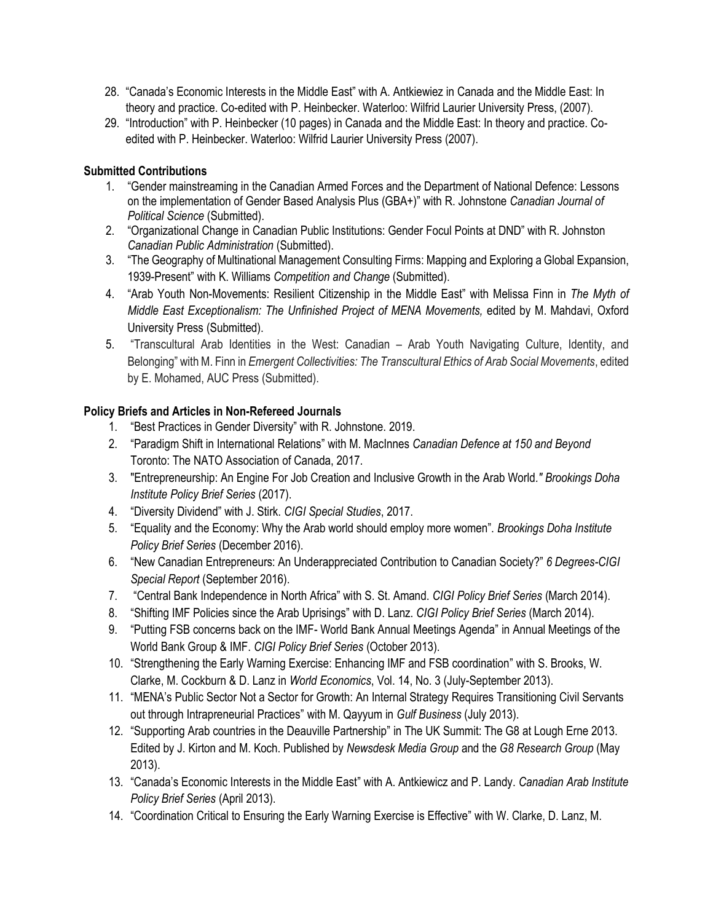- 28. "Canada's Economic Interests in the Middle East" with A. Antkiewiez in Canada and the Middle East: In theory and practice. Co-edited with P. Heinbecker. Waterloo: Wilfrid Laurier University Press, (2007).
- 29. "Introduction" with P. Heinbecker (10 pages) in Canada and the Middle East: In theory and practice. Coedited with P. Heinbecker. Waterloo: Wilfrid Laurier University Press (2007).

# **Submitted Contributions**

- 1. "Gender mainstreaming in the Canadian Armed Forces and the Department of National Defence: Lessons on the implementation of Gender Based Analysis Plus (GBA+)" with R. Johnstone *Canadian Journal of Political Science* (Submitted).
- 2. "Organizational Change in Canadian Public Institutions: Gender Focul Points at DND" with R. Johnston *Canadian Public Administration* (Submitted).
- 3. "The Geography of Multinational Management Consulting Firms: Mapping and Exploring a Global Expansion, 1939-Present" with K. Williams *Competition and Change* (Submitted).
- 4. "Arab Youth Non-Movements: Resilient Citizenship in the Middle East" with Melissa Finn in *The Myth of Middle East Exceptionalism: The Unfinished Project of MENA Movements,* edited by M. Mahdavi, Oxford University Press (Submitted).
- 5. "Transcultural Arab Identities in the West: Canadian Arab Youth Navigating Culture, Identity, and Belonging" with M. Finn in *Emergent Collectivities: The Transcultural Ethics of Arab Social Movements*, edited by E. Mohamed, AUC Press (Submitted).

# **Policy Briefs and Articles in Non-Refereed Journals**

- 1. "Best Practices in Gender Diversity" with R. Johnstone. 2019.
- 2. "Paradigm Shift in International Relations" with M. MacInnes *Canadian Defence at 150 and Beyond* Toronto: The NATO Association of Canada, 2017.
- 3. "Entrepreneurship: An Engine For Job Creation and Inclusive Growth in the Arab World*." Brookings Doha Institute Policy Brief Series* (2017).
- 4. "Diversity Dividend" with J. Stirk. *CIGI Special Studies*, 2017.
- 5. "Equality and the Economy: Why the Arab world should employ more women". *Brookings Doha Institute Policy Brief Series* (December 2016).
- 6. "New Canadian Entrepreneurs: An Underappreciated Contribution to Canadian Society?" *6 Degrees-CIGI Special Report* (September 2016).
- 7. "Central Bank Independence in North Africa" with S. St. Amand. *CIGI Policy Brief Series* (March 2014).
- 8. "Shifting IMF Policies since the Arab Uprisings" with D. Lanz. *CIGI Policy Brief Series* (March 2014).
- 9. "Putting FSB concerns back on the IMF- World Bank Annual Meetings Agenda" in Annual Meetings of the World Bank Group & IMF. *CIGI Policy Brief Series* (October 2013).
- 10. "Strengthening the Early Warning Exercise: Enhancing IMF and FSB coordination" with S. Brooks, W. Clarke, M. Cockburn & D. Lanz in *World Economics*, Vol. 14, No. 3 (July-September 2013).
- 11. "MENA's Public Sector Not a Sector for Growth: An Internal Strategy Requires Transitioning Civil Servants out through Intrapreneurial Practices" with M. Qayyum in *Gulf Business* (July 2013).
- 12. "Supporting Arab countries in the Deauville Partnership" in The UK Summit: The G8 at Lough Erne 2013. Edited by J. Kirton and M. Koch. Published by *Newsdesk Media Group* and the *G8 Research Group* (May 2013).
- 13. "Canada's Economic Interests in the Middle East" with A. Antkiewicz and P. Landy. *Canadian Arab Institute Policy Brief Series* (April 2013).
- 14. "Coordination Critical to Ensuring the Early Warning Exercise is Effective" with W. Clarke, D. Lanz, M.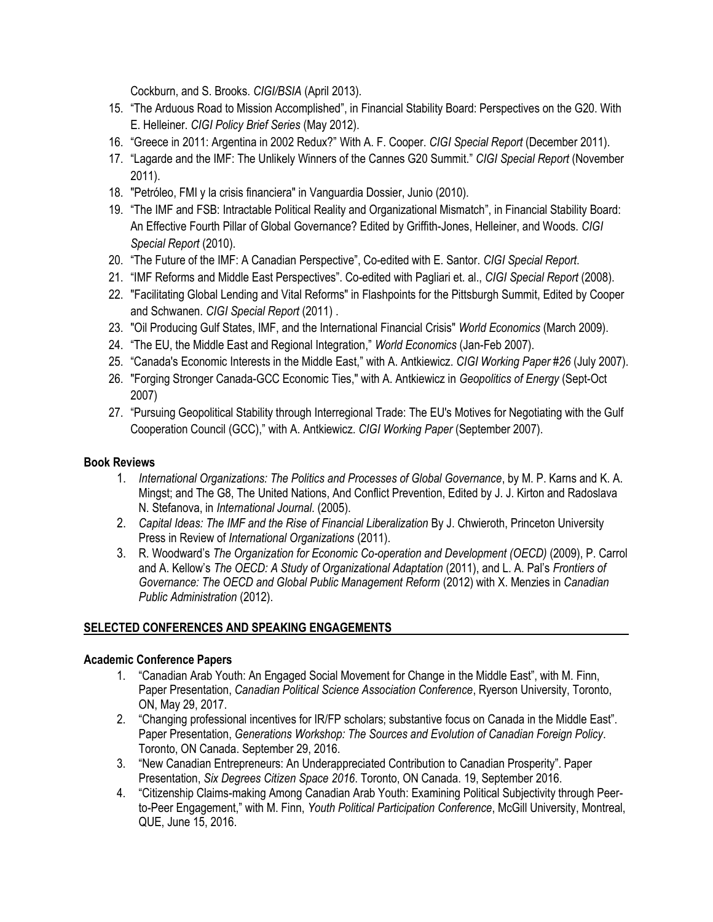Cockburn, and S. Brooks. *CIGI/BSIA* (April 2013).

- 15. "The Arduous Road to Mission Accomplished", in Financial Stability Board: Perspectives on the G20. With E. Helleiner. *CIGI Policy Brief Series* (May 2012).
- 16. "Greece in 2011: Argentina in 2002 Redux?" With A. F. Cooper. *CIGI Special Report* (December 2011).
- 17. "Lagarde and the IMF: The Unlikely Winners of the Cannes G20 Summit." *CIGI Special Report* (November 2011).
- 18. "Petróleo, FMI y la crisis financiera" in Vanguardia Dossier, Junio (2010).
- 19. "The IMF and FSB: Intractable Political Reality and Organizational Mismatch", in Financial Stability Board: An Effective Fourth Pillar of Global Governance? Edited by Griffith-Jones, Helleiner, and Woods. *CIGI Special Report* (2010).
- 20. "The Future of the IMF: A Canadian Perspective", Co-edited with E. Santor. *CIGI Special Report*.
- 21. "IMF Reforms and Middle East Perspectives". Co-edited with Pagliari et. al., *CIGI Special Report* (2008).
- 22. "Facilitating Global Lending and Vital Reforms" in Flashpoints for the Pittsburgh Summit, Edited by Cooper and Schwanen. *CIGI Special Report* (2011) .
- 23. "Oil Producing Gulf States, IMF, and the International Financial Crisis" *World Economics* (March 2009).
- 24. "The EU, the Middle East and Regional Integration," *World Economics* (Jan-Feb 2007).
- 25. "Canada's Economic Interests in the Middle East," with A. Antkiewicz. *CIGI Working Paper #26* (July 2007).
- 26. "Forging Stronger Canada-GCC Economic Ties," with A. Antkiewicz in *Geopolitics of Energy* (Sept-Oct 2007)
- 27. "Pursuing Geopolitical Stability through Interregional Trade: The EU's Motives for Negotiating with the Gulf Cooperation Council (GCC)," with A. Antkiewicz. *CIGI Working Paper* (September 2007).

# **Book Reviews**

- 1. *International Organizations: The Politics and Processes of Global Governance*, by M. P. Karns and K. A. Mingst; and The G8, The United Nations, And Conflict Prevention, Edited by J. J. Kirton and Radoslava N. Stefanova, in *International Journal*. (2005).
- 2. Capital Ideas: The IMF and the Rise of Financial Liberalization By J. Chwieroth, Princeton University Press in Review of *International Organizations* (2011).
- 3. R. Woodward's *The Organization for Economic Co-operation and Development (OECD)* (2009), P. Carrol and A. Kellow's *The OECD: A Study of Organizational Adaptation* (2011), and L. A. Pal's *Frontiers of Governance: The OECD and Global Public Management Reform* (2012) with X. Menzies in *Canadian Public Administration* (2012).

# **SELECTED CONFERENCES AND SPEAKING ENGAGEMENTS**

# **Academic Conference Papers**

- 1. "Canadian Arab Youth: An Engaged Social Movement for Change in the Middle East", with M. Finn, Paper Presentation, *Canadian Political Science Association Conference*, Ryerson University, Toronto, ON, May 29, 2017.
- 2. "Changing professional incentives for IR/FP scholars; substantive focus on Canada in the Middle East". Paper Presentation, *Generations Workshop: The Sources and Evolution of Canadian Foreign Policy*. Toronto, ON Canada. September 29, 2016.
- 3. "New Canadian Entrepreneurs: An Underappreciated Contribution to Canadian Prosperity". Paper Presentation, *Six Degrees Citizen Space 2016*. Toronto, ON Canada. 19, September 2016.
- 4. "Citizenship Claims-making Among Canadian Arab Youth: Examining Political Subjectivity through Peerto-Peer Engagement," with M. Finn, *Youth Political Participation Conference*, McGill University, Montreal, QUE, June 15, 2016.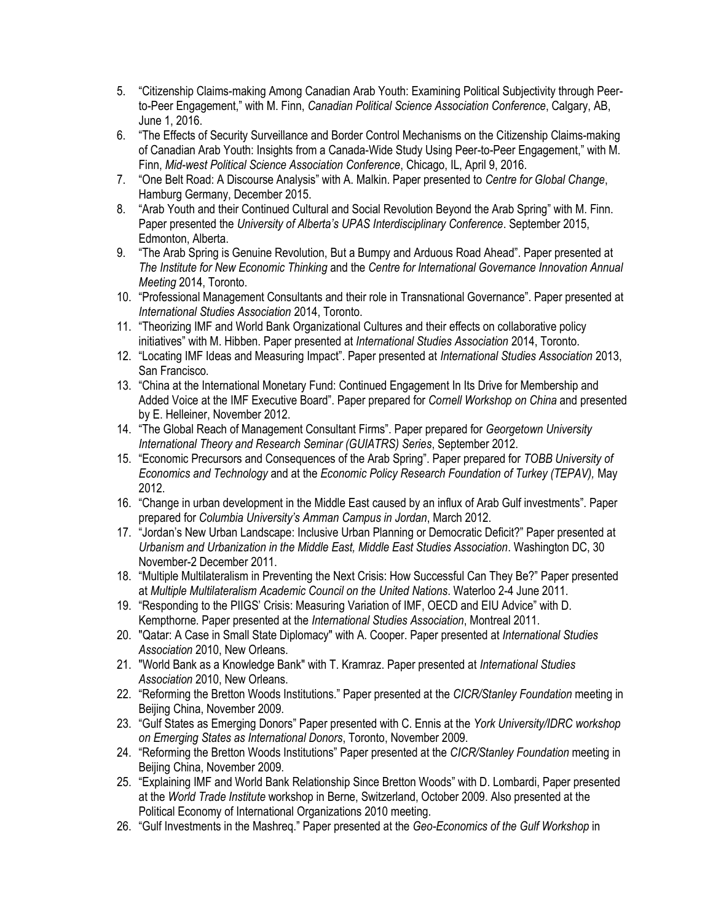- 5. "Citizenship Claims-making Among Canadian Arab Youth: Examining Political Subjectivity through Peerto-Peer Engagement," with M. Finn, *Canadian Political Science Association Conference*, Calgary, AB, June 1, 2016.
- 6. "The Effects of Security Surveillance and Border Control Mechanisms on the Citizenship Claims-making of Canadian Arab Youth: Insights from a Canada-Wide Study Using Peer-to-Peer Engagement," with M. Finn, *Mid-west Political Science Association Conference*, Chicago, IL, April 9, 2016.
- 7. "One Belt Road: A Discourse Analysis" with A. Malkin. Paper presented to *Centre for Global Change*, Hamburg Germany, December 2015.
- 8. "Arab Youth and their Continued Cultural and Social Revolution Beyond the Arab Spring" with M. Finn. Paper presented the *University of Alberta's UPAS Interdisciplinary Conference*. September 2015, Edmonton, Alberta.
- 9. "The Arab Spring is Genuine Revolution, But a Bumpy and Arduous Road Ahead". Paper presented at *The Institute for New Economic Thinking* and the *Centre for International Governance Innovation Annual Meeting* 2014, Toronto.
- 10. "Professional Management Consultants and their role in Transnational Governance". Paper presented at *International Studies Association* 2014, Toronto.
- 11. "Theorizing IMF and World Bank Organizational Cultures and their effects on collaborative policy initiatives" with M. Hibben. Paper presented at *International Studies Association* 2014, Toronto.
- 12. "Locating IMF Ideas and Measuring Impact". Paper presented at *International Studies Association* 2013, San Francisco.
- 13. "China at the International Monetary Fund: Continued Engagement In Its Drive for Membership and Added Voice at the IMF Executive Board". Paper prepared for *Cornell Workshop on China* and presented by E. Helleiner, November 2012.
- 14. "The Global Reach of Management Consultant Firms". Paper prepared for *Georgetown University International Theory and Research Seminar (GUIATRS) Series*, September 2012.
- 15. "Economic Precursors and Consequences of the Arab Spring". Paper prepared for *TOBB University of Economics and Technology* and at the *Economic Policy Research Foundation of Turkey (TEPAV),* May 2012.
- 16. "Change in urban development in the Middle East caused by an influx of Arab Gulf investments". Paper prepared for *Columbia University's Amman Campus in Jordan*, March 2012.
- 17. "Jordan's New Urban Landscape: Inclusive Urban Planning or Democratic Deficit?" Paper presented at *Urbanism and Urbanization in the Middle East, Middle East Studies Association*. Washington DC, 30 November-2 December 2011.
- 18. "Multiple Multilateralism in Preventing the Next Crisis: How Successful Can They Be?" Paper presented at *Multiple Multilateralism Academic Council on the United Nations*. Waterloo 2-4 June 2011.
- 19. "Responding to the PIIGS' Crisis: Measuring Variation of IMF, OECD and EIU Advice" with D. Kempthorne. Paper presented at the *International Studies Association*, Montreal 2011.
- 20. "Qatar: A Case in Small State Diplomacy" with A. Cooper. Paper presented at *International Studies Association* 2010, New Orleans.
- 21. "World Bank as a Knowledge Bank" with T. Kramraz. Paper presented at *International Studies Association* 2010, New Orleans.
- 22. "Reforming the Bretton Woods Institutions." Paper presented at the *CICR/Stanley Foundation* meeting in Beijing China, November 2009.
- 23. "Gulf States as Emerging Donors" Paper presented with C. Ennis at the *York University/IDRC workshop on Emerging States as International Donors*, Toronto, November 2009.
- 24. "Reforming the Bretton Woods Institutions" Paper presented at the *CICR/Stanley Foundation* meeting in Beijing China, November 2009.
- 25. "Explaining IMF and World Bank Relationship Since Bretton Woods" with D. Lombardi, Paper presented at the *World Trade Institute* workshop in Berne, Switzerland, October 2009. Also presented at the Political Economy of International Organizations 2010 meeting.
- 26. "Gulf Investments in the Mashreq." Paper presented at the *Geo-Economics of the Gulf Workshop* in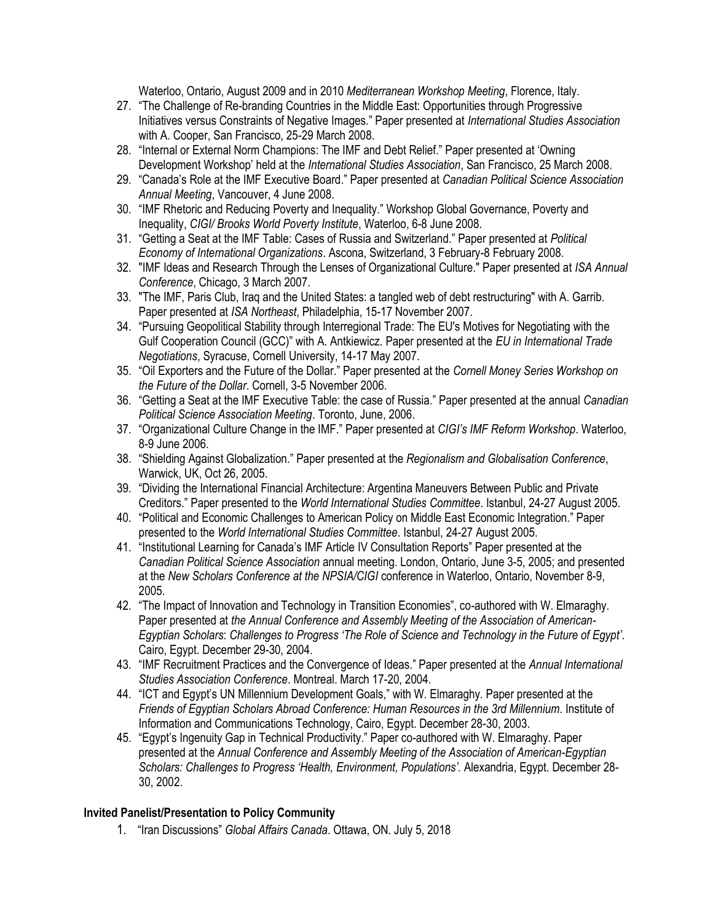Waterloo, Ontario, August 2009 and in 2010 *Mediterranean Workshop Meeting*, Florence, Italy.

- 27. "The Challenge of Re-branding Countries in the Middle East: Opportunities through Progressive Initiatives versus Constraints of Negative Images." Paper presented at *International Studies Association* with A. Cooper, San Francisco, 25-29 March 2008.
- 28. "Internal or External Norm Champions: The IMF and Debt Relief." Paper presented at 'Owning Development Workshop' held at the *International Studies Association*, San Francisco, 25 March 2008.
- 29. "Canada's Role at the IMF Executive Board." Paper presented at *Canadian Political Science Association Annual Meeting*, Vancouver, 4 June 2008.
- 30. "IMF Rhetoric and Reducing Poverty and Inequality." Workshop Global Governance, Poverty and Inequality, *CIGI/ Brooks World Poverty Institute*, Waterloo, 6-8 June 2008.
- 31. "Getting a Seat at the IMF Table: Cases of Russia and Switzerland." Paper presented at *Political Economy of International Organizations*. Ascona, Switzerland, 3 February-8 February 2008.
- 32. "IMF Ideas and Research Through the Lenses of Organizational Culture." Paper presented at *ISA Annual Conference*, Chicago, 3 March 2007.
- 33. "The IMF, Paris Club, Iraq and the United States: a tangled web of debt restructuring" with A. Garrib. Paper presented at *ISA Northeast*, Philadelphia, 15-17 November 2007.
- 34. "Pursuing Geopolitical Stability through Interregional Trade: The EU's Motives for Negotiating with the Gulf Cooperation Council (GCC)" with A. Antkiewicz. Paper presented at the *EU in International Trade Negotiations*, Syracuse, Cornell University, 14-17 May 2007.
- 35. "Oil Exporters and the Future of the Dollar." Paper presented at the *Cornell Money Series Workshop on the Future of the Dollar*. Cornell, 3-5 November 2006.
- 36. "Getting a Seat at the IMF Executive Table: the case of Russia." Paper presented at the annual *Canadian Political Science Association Meeting*. Toronto, June, 2006.
- 37. "Organizational Culture Change in the IMF." Paper presented at *CIGI's IMF Reform Workshop*. Waterloo, 8-9 June 2006.
- 38. "Shielding Against Globalization." Paper presented at the *Regionalism and Globalisation Conference*, Warwick, UK, Oct 26, 2005.
- 39. "Dividing the International Financial Architecture: Argentina Maneuvers Between Public and Private Creditors." Paper presented to the *World International Studies Committee*. Istanbul, 24-27 August 2005.
- 40. "Political and Economic Challenges to American Policy on Middle East Economic Integration." Paper presented to the *World International Studies Committee*. Istanbul, 24-27 August 2005.
- 41. "Institutional Learning for Canada's IMF Article IV Consultation Reports" Paper presented at the *Canadian Political Science Association* annual meeting. London, Ontario, June 3-5, 2005; and presented at the *New Scholars Conference at the NPSIA/CIGI* conference in Waterloo, Ontario, November 8-9, 2005.
- 42. "The Impact of Innovation and Technology in Transition Economies", co-authored with W. Elmaraghy. Paper presented at *the Annual Conference and Assembly Meeting of the Association of American-Egyptian Scholars*: *Challenges to Progress 'The Role of Science and Technology in the Future of Egypt'*. Cairo, Egypt. December 29-30, 2004.
- 43. "IMF Recruitment Practices and the Convergence of Ideas." Paper presented at the *Annual International Studies Association Conference*. Montreal. March 17-20, 2004.
- 44. "ICT and Egypt's UN Millennium Development Goals," with W. Elmaraghy. Paper presented at the *Friends of Egyptian Scholars Abroad Conference: Human Resources in the 3rd Millennium*. Institute of Information and Communications Technology, Cairo, Egypt. December 28-30, 2003.
- 45. "Egypt's Ingenuity Gap in Technical Productivity." Paper co-authored with W. Elmaraghy. Paper presented at the *Annual Conference and Assembly Meeting of the Association of American-Egyptian Scholars: Challenges to Progress 'Health, Environment, Populations'.* Alexandria, Egypt. December 28- 30, 2002.

### **Invited Panelist/Presentation to Policy Community**

1. "Iran Discussions" *Global Affairs Canada*. Ottawa, ON. July 5, 2018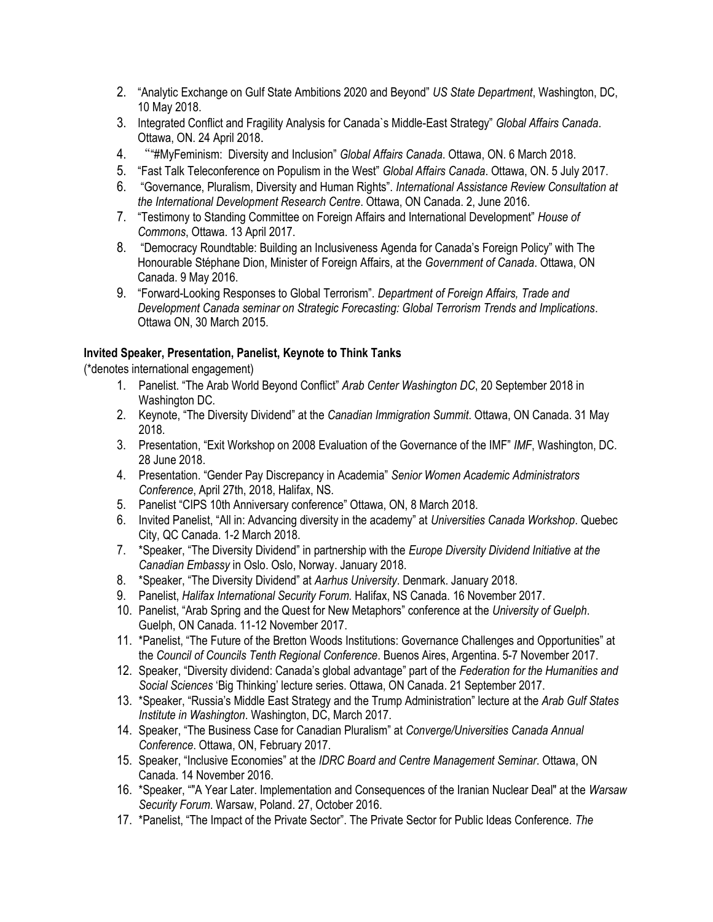- 2. "Analytic Exchange on Gulf State Ambitions 2020 and Beyond" *US State Department*, Washington, DC, 10 May 2018.
- 3. Integrated Conflict and Fragility Analysis for Canada`s Middle-East Strategy" *Global Affairs Canada*. Ottawa, ON. 24 April 2018.
- 4. ""#MyFeminism: Diversity and Inclusion" *Global Affairs Canada*. Ottawa, ON. 6 March 2018.
- 5. "Fast Talk Teleconference on Populism in the West" *Global Affairs Canada*. Ottawa, ON. 5 July 2017.
- 6. "Governance, Pluralism, Diversity and Human Rights". *International Assistance Review Consultation at the International Development Research Centre*. Ottawa, ON Canada. 2, June 2016.
- 7. "Testimony to Standing Committee on Foreign Affairs and International Development" *House of Commons*, Ottawa. 13 April 2017.
- 8. "Democracy Roundtable: Building an Inclusiveness Agenda for Canada's Foreign Policy" with The Honourable Stéphane Dion, Minister of Foreign Affairs, at the *Government of Canada*. Ottawa, ON Canada. 9 May 2016.
- 9. "Forward-Looking Responses to Global Terrorism". *Department of Foreign Affairs, Trade and Development Canada seminar on Strategic Forecasting: Global Terrorism Trends and Implications*. Ottawa ON, 30 March 2015.

### **Invited Speaker, Presentation, Panelist, Keynote to Think Tanks**

(\*denotes international engagement)

- 1. Panelist. "The Arab World Beyond Conflict" *Arab Center Washington DC*, 20 September 2018 in Washington DC.
- 2. Keynote, "The Diversity Dividend" at the *Canadian Immigration Summit*. Ottawa, ON Canada. 31 May 2018.
- 3. Presentation, "Exit Workshop on 2008 Evaluation of the Governance of the IMF" *IMF*, Washington, DC. 28 June 2018.
- 4. Presentation. "Gender Pay Discrepancy in Academia" *Senior Women Academic Administrators Conference*, April 27th, 2018, Halifax, NS.
- 5. Panelist "CIPS 10th Anniversary conference" Ottawa, ON, 8 March 2018.
- 6. Invited Panelist, "All in: Advancing diversity in the academy" at *Universities Canada Workshop*. Quebec City, QC Canada. 1-2 March 2018.
- 7. \*Speaker, "The Diversity Dividend" in partnership with the *Europe Diversity Dividend Initiative at the Canadian Embassy* in Oslo. Oslo, Norway. January 2018.
- 8. \*Speaker, "The Diversity Dividend" at *Aarhus University*. Denmark. January 2018.
- 9. Panelist, *Halifax International Security Forum.* Halifax, NS Canada. 16 November 2017.
- 10. Panelist, "Arab Spring and the Quest for New Metaphors" conference at the *University of Guelph*. Guelph, ON Canada. 11-12 November 2017.
- 11. \*Panelist, "The Future of the Bretton Woods Institutions: Governance Challenges and Opportunities" at the *Council of Councils Tenth Regional Conference*. Buenos Aires, Argentina. 5-7 November 2017.
- 12. Speaker, "Diversity dividend: Canada's global advantage" part of the *Federation for the Humanities and Social Sciences* 'Big Thinking' lecture series. Ottawa, ON Canada. 21 September 2017.
- 13. \*Speaker, "Russia's Middle East Strategy and the Trump Administration" lecture at the *Arab Gulf States Institute in Washington*. Washington, DC, March 2017.
- 14. Speaker, "The Business Case for Canadian Pluralism" at *Converge/Universities Canada Annual Conference*. Ottawa, ON, February 2017.
- 15. Speaker, "Inclusive Economies" at the *IDRC Board and Centre Management Seminar*. Ottawa, ON Canada. 14 November 2016.
- 16. \*Speaker, ""A Year Later. Implementation and Consequences of the Iranian Nuclear Deal" at the *Warsaw Security Forum*. Warsaw, Poland. 27, October 2016.
- 17. \*Panelist, "The Impact of the Private Sector". The Private Sector for Public Ideas Conference. *The*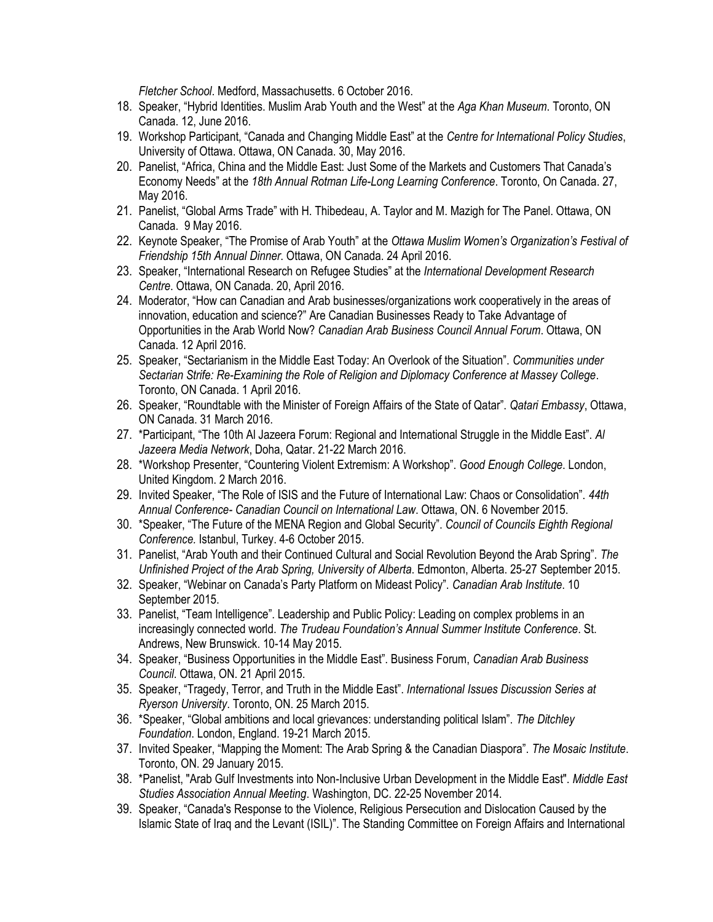*Fletcher School*. Medford, Massachusetts. 6 October 2016.

- 18. Speaker, "Hybrid Identities. Muslim Arab Youth and the West" at the *Aga Khan Museum*. Toronto, ON Canada. 12, June 2016.
- 19. Workshop Participant, "Canada and Changing Middle East" at the *Centre for International Policy Studies*, University of Ottawa. Ottawa, ON Canada. 30, May 2016.
- 20. Panelist, "Africa, China and the Middle East: Just Some of the Markets and Customers That Canada's Economy Needs" at the *18th Annual Rotman Life-Long Learning Conference*. Toronto, On Canada. 27, May 2016.
- 21. Panelist, "Global Arms Trade" with H. Thibedeau, A. Taylor and M. Mazigh for The Panel. Ottawa, ON Canada. 9 May 2016.
- 22. Keynote Speaker, "The Promise of Arab Youth" at the *Ottawa Muslim Women's Organization's Festival of Friendship 15th Annual Dinner*. Ottawa, ON Canada. 24 April 2016.
- 23. Speaker, "International Research on Refugee Studies" at the *International Development Research Centre*. Ottawa, ON Canada. 20, April 2016.
- 24. Moderator, "How can Canadian and Arab businesses/organizations work cooperatively in the areas of innovation, education and science?" Are Canadian Businesses Ready to Take Advantage of Opportunities in the Arab World Now? *Canadian Arab Business Council Annual Forum*. Ottawa, ON Canada. 12 April 2016.
- 25. Speaker, "Sectarianism in the Middle East Today: An Overlook of the Situation". *Communities under Sectarian Strife: Re-Examining the Role of Religion and Diplomacy Conference at Massey College*. Toronto, ON Canada. 1 April 2016.
- 26. Speaker, "Roundtable with the Minister of Foreign Affairs of the State of Qatar". *Qatari Embassy*, Ottawa, ON Canada. 31 March 2016.
- 27. \*Participant, "The 10th Al Jazeera Forum: Regional and International Struggle in the Middle East". *Al Jazeera Media Network*, Doha, Qatar. 21-22 March 2016.
- 28. \*Workshop Presenter, "Countering Violent Extremism: A Workshop". *Good Enough College*. London, United Kingdom. 2 March 2016.
- 29. Invited Speaker, "The Role of ISIS and the Future of International Law: Chaos or Consolidation". *44th Annual Conference- Canadian Council on International Law*. Ottawa, ON. 6 November 2015.
- 30. \*Speaker, "The Future of the MENA Region and Global Security". *Council of Councils Eighth Regional Conference.* Istanbul, Turkey. 4-6 October 2015.
- 31. Panelist, "Arab Youth and their Continued Cultural and Social Revolution Beyond the Arab Spring". *The Unfinished Project of the Arab Spring, University of Alberta*. Edmonton, Alberta. 25-27 September 2015.
- 32. Speaker, "Webinar on Canada's Party Platform on Mideast Policy". *Canadian Arab Institute*. 10 September 2015.
- 33. Panelist, "Team Intelligence". Leadership and Public Policy: Leading on complex problems in an increasingly connected world. *The Trudeau Foundation's Annual Summer Institute Conference*. St. Andrews, New Brunswick. 10-14 May 2015.
- 34. Speaker, "Business Opportunities in the Middle East". Business Forum, *Canadian Arab Business Council*. Ottawa, ON. 21 April 2015.
- 35. Speaker, "Tragedy, Terror, and Truth in the Middle East". *International Issues Discussion Series at Ryerson University*. Toronto, ON. 25 March 2015.
- 36. \*Speaker, "Global ambitions and local grievances: understanding political Islam". *The Ditchley Foundation*. London, England. 19-21 March 2015.
- 37. Invited Speaker, "Mapping the Moment: The Arab Spring & the Canadian Diaspora". *The Mosaic Institute*. Toronto, ON. 29 January 2015.
- 38. \*Panelist, "Arab Gulf Investments into Non-Inclusive Urban Development in the Middle East". *Middle East Studies Association Annual Meeting*. Washington, DC. 22-25 November 2014.
- 39. Speaker, "Canada's Response to the Violence, Religious Persecution and Dislocation Caused by the Islamic State of Iraq and the Levant (ISIL)". The Standing Committee on Foreign Affairs and International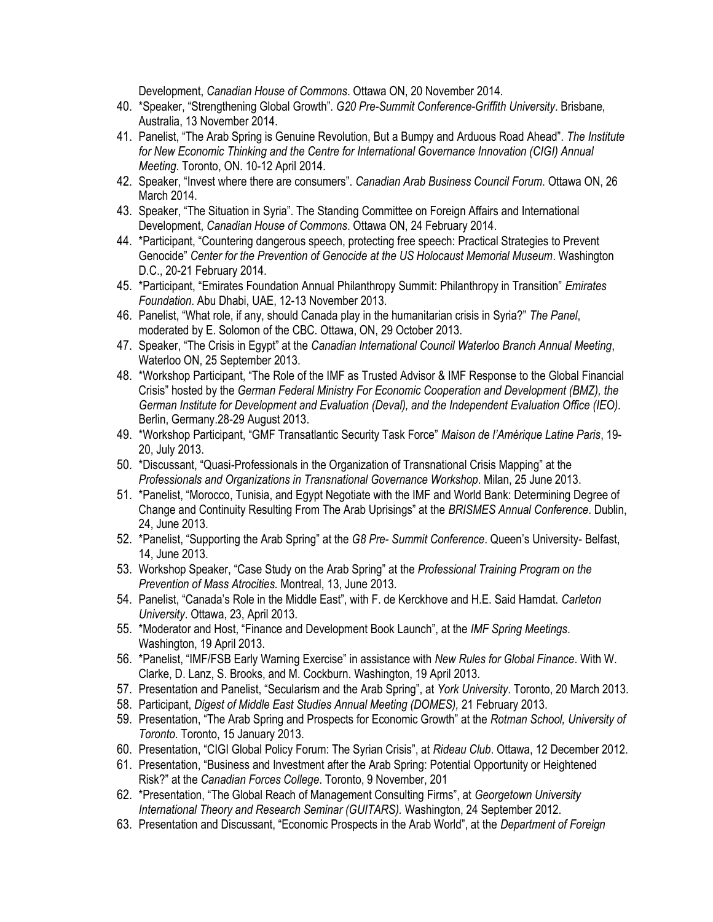Development, *Canadian House of Commons*. Ottawa ON, 20 November 2014.

- 40. \*Speaker, "Strengthening Global Growth". *G20 Pre-Summit Conference-Griffith University*. Brisbane, Australia, 13 November 2014.
- 41. Panelist, "The Arab Spring is Genuine Revolution, But a Bumpy and Arduous Road Ahead". *The Institute for New Economic Thinking and the Centre for International Governance Innovation (CIGI) Annual Meeting*. Toronto, ON. 10-12 April 2014.
- 42. Speaker, "Invest where there are consumers". *Canadian Arab Business Council Forum*. Ottawa ON, 26 March 2014.
- 43. Speaker, "The Situation in Syria". The Standing Committee on Foreign Affairs and International Development, *Canadian House of Commons*. Ottawa ON, 24 February 2014.
- 44. \*Participant, "Countering dangerous speech, protecting free speech: Practical Strategies to Prevent Genocide" *Center for the Prevention of Genocide at the US Holocaust Memorial Museum*. Washington D.C., 20-21 February 2014.
- 45. \*Participant, "Emirates Foundation Annual Philanthropy Summit: Philanthropy in Transition" *Emirates Foundation*. Abu Dhabi, UAE, 12-13 November 2013.
- 46. Panelist, "What role, if any, should Canada play in the humanitarian crisis in Syria?" *The Panel*, moderated by E. Solomon of the CBC. Ottawa, ON, 29 October 2013.
- 47. Speaker, "The Crisis in Egypt" at the *Canadian International Council Waterloo Branch Annual Meeting*, Waterloo ON, 25 September 2013.
- 48. \*Workshop Participant, "The Role of the IMF as Trusted Advisor & IMF Response to the Global Financial Crisis" hosted by the *German Federal Ministry For Economic Cooperation and Development (BMZ), the German Institute for Development and Evaluation (Deval), and the Independent Evaluation Office (IEO).* Berlin, Germany.28-29 August 2013.
- 49. \*Workshop Participant, "GMF Transatlantic Security Task Force" *Maison de l'Amérique Latine Paris*, 19- 20, July 2013.
- 50. \*Discussant, "Quasi-Professionals in the Organization of Transnational Crisis Mapping" at the *Professionals and Organizations in Transnational Governance Workshop*. Milan, 25 June 2013.
- 51. \*Panelist, "Morocco, Tunisia, and Egypt Negotiate with the IMF and World Bank: Determining Degree of Change and Continuity Resulting From The Arab Uprisings" at the *BRISMES Annual Conference*. Dublin, 24, June 2013.
- 52. \*Panelist, "Supporting the Arab Spring" at the *G8 Pre- Summit Conference*. Queen's University- Belfast, 14, June 2013.
- 53. Workshop Speaker, "Case Study on the Arab Spring" at the *Professional Training Program on the Prevention of Mass Atrocities.* Montreal, 13, June 2013.
- 54. Panelist, "Canada's Role in the Middle East", with F. de Kerckhove and H.E. Said Hamdat. *Carleton University*. Ottawa, 23, April 2013.
- 55. \*Moderator and Host, "Finance and Development Book Launch", at the *IMF Spring Meetings*. Washington, 19 April 2013.
- 56. \*Panelist, "IMF/FSB Early Warning Exercise" in assistance with *New Rules for Global Finance*. With W. Clarke, D. Lanz, S. Brooks, and M. Cockburn. Washington, 19 April 2013.
- 57. Presentation and Panelist, "Secularism and the Arab Spring", at *York University*. Toronto, 20 March 2013.
- 58. Participant, *Digest of Middle East Studies Annual Meeting (DOMES),* 21 February 2013.
- 59. Presentation, "The Arab Spring and Prospects for Economic Growth" at the *Rotman School, University of Toronto*. Toronto, 15 January 2013.
- 60. Presentation, "CIGI Global Policy Forum: The Syrian Crisis", at *Rideau Club*. Ottawa, 12 December 2012.
- 61. Presentation, "Business and Investment after the Arab Spring: Potential Opportunity or Heightened Risk?" at the *Canadian Forces College*. Toronto, 9 November, 201
- 62. \*Presentation, "The Global Reach of Management Consulting Firms", at *Georgetown University International Theory and Research Seminar (GUITARS).* Washington, 24 September 2012.
- 63. Presentation and Discussant, "Economic Prospects in the Arab World", at the *Department of Foreign*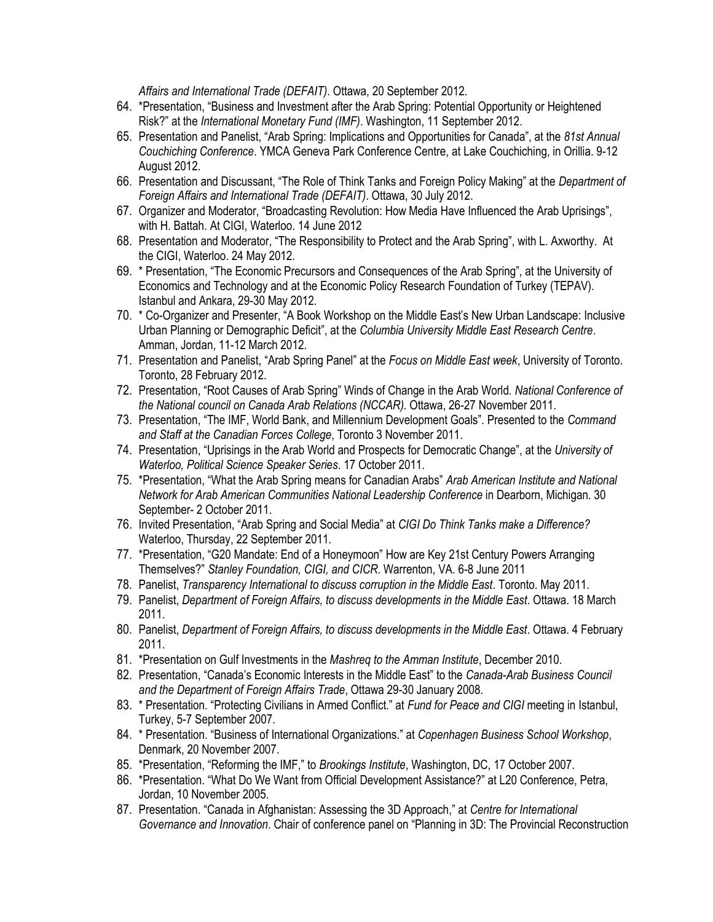*Affairs and International Trade (DEFAIT)*. Ottawa, 20 September 2012.

- 64. \*Presentation, "Business and Investment after the Arab Spring: Potential Opportunity or Heightened Risk?" at the *International Monetary Fund (IMF)*. Washington, 11 September 2012.
- 65. Presentation and Panelist, "Arab Spring: Implications and Opportunities for Canada", at the *81st Annual Couchiching Conference*. YMCA Geneva Park Conference Centre, at Lake Couchiching, in Orillia. 9-12 August 2012.
- 66. Presentation and Discussant, "The Role of Think Tanks and Foreign Policy Making" at the *Department of Foreign Affairs and International Trade (DEFAIT)*. Ottawa, 30 July 2012.
- 67. Organizer and Moderator, "Broadcasting Revolution: How Media Have Influenced the Arab Uprisings", with H. Battah. At CIGI, Waterloo. 14 June 2012
- 68. Presentation and Moderator, "The Responsibility to Protect and the Arab Spring", with L. Axworthy. At the CIGI, Waterloo. 24 May 2012.
- 69. \* Presentation, "The Economic Precursors and Consequences of the Arab Spring", at the University of Economics and Technology and at the Economic Policy Research Foundation of Turkey (TEPAV). Istanbul and Ankara, 29-30 May 2012.
- 70. \* Co-Organizer and Presenter, "A Book Workshop on the Middle East's New Urban Landscape: Inclusive Urban Planning or Demographic Deficit", at the *Columbia University Middle East Research Centre*. Amman, Jordan, 11-12 March 2012.
- 71. Presentation and Panelist, "Arab Spring Panel" at the *Focus on Middle East week*, University of Toronto. Toronto, 28 February 2012.
- 72. Presentation, "Root Causes of Arab Spring" Winds of Change in the Arab World. *National Conference of the National council on Canada Arab Relations (NCCAR).* Ottawa, 26-27 November 2011.
- 73. Presentation, "The IMF, World Bank, and Millennium Development Goals". Presented to the *Command and Staff at the Canadian Forces College*, Toronto 3 November 2011.
- 74. Presentation, "Uprisings in the Arab World and Prospects for Democratic Change", at the *University of Waterloo, Political Science Speaker Series*. 17 October 2011.
- 75. \*Presentation, "What the Arab Spring means for Canadian Arabs" *Arab American Institute and National Network for Arab American Communities National Leadership Conference* in Dearborn, Michigan. 30 September- 2 October 2011.
- 76. Invited Presentation, "Arab Spring and Social Media" at *CIGI Do Think Tanks make a Difference?* Waterloo, Thursday, 22 September 2011.
- 77. \*Presentation, "G20 Mandate: End of a Honeymoon" How are Key 21st Century Powers Arranging Themselves?" *Stanley Foundation, CIGI, and CICR*. Warrenton, VA. 6-8 June 2011
- 78. Panelist, *Transparency International to discuss corruption in the Middle East*. Toronto. May 2011.
- 79. Panelist, *Department of Foreign Affairs, to discuss developments in the Middle East*. Ottawa. 18 March 2011.
- 80. Panelist, *Department of Foreign Affairs, to discuss developments in the Middle East*. Ottawa. 4 February 2011.
- 81. \*Presentation on Gulf Investments in the *Mashreq to the Amman Institute*, December 2010.
- 82. Presentation, "Canada's Economic Interests in the Middle East" to the *Canada-Arab Business Council and the Department of Foreign Affairs Trade*, Ottawa 29-30 January 2008.
- 83. \* Presentation. "Protecting Civilians in Armed Conflict." at *Fund for Peace and CIGI* meeting in Istanbul, Turkey, 5-7 September 2007.
- 84. \* Presentation. "Business of International Organizations." at *Copenhagen Business School Workshop*, Denmark, 20 November 2007.
- 85. \*Presentation, "Reforming the IMF," to *Brookings Institute*, Washington, DC, 17 October 2007.
- 86. \*Presentation. "What Do We Want from Official Development Assistance?" at L20 Conference, Petra, Jordan, 10 November 2005.
- 87. Presentation. "Canada in Afghanistan: Assessing the 3D Approach," at *Centre for International Governance and Innovation*. Chair of conference panel on "Planning in 3D: The Provincial Reconstruction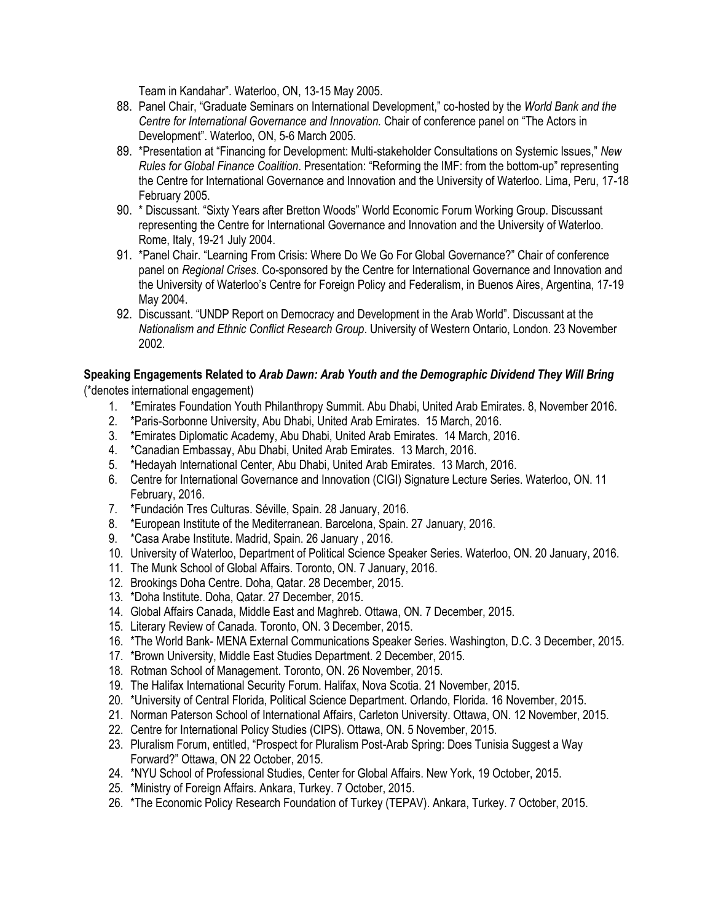Team in Kandahar". Waterloo, ON, 13-15 May 2005.

- 88. Panel Chair, "Graduate Seminars on International Development," co-hosted by the *World Bank and the Centre for International Governance and Innovation.* Chair of conference panel on "The Actors in Development". Waterloo, ON, 5-6 March 2005.
- 89. \*Presentation at "Financing for Development: Multi-stakeholder Consultations on Systemic Issues," *New Rules for Global Finance Coalition*. Presentation: "Reforming the IMF: from the bottom-up" representing the Centre for International Governance and Innovation and the University of Waterloo. Lima, Peru, 17-18 February 2005.
- 90. \* Discussant. "Sixty Years after Bretton Woods" World Economic Forum Working Group. Discussant representing the Centre for International Governance and Innovation and the University of Waterloo. Rome, Italy, 19-21 July 2004.
- 91. \*Panel Chair. "Learning From Crisis: Where Do We Go For Global Governance?" Chair of conference panel on *Regional Crises*. Co-sponsored by the Centre for International Governance and Innovation and the University of Waterloo's Centre for Foreign Policy and Federalism, in Buenos Aires, Argentina, 17-19 May 2004.
- 92. Discussant. "UNDP Report on Democracy and Development in the Arab World". Discussant at the *Nationalism and Ethnic Conflict Research Group*. University of Western Ontario, London. 23 November 2002.

#### **Speaking Engagements Related to** *Arab Dawn: Arab Youth and the Demographic Dividend They Will Bring* (\*denotes international engagement)

- 1. \*Emirates Foundation Youth Philanthropy Summit. Abu Dhabi, United Arab Emirates. 8, November 2016.
- 2. \*Paris-Sorbonne University, Abu Dhabi, United Arab Emirates. 15 March, 2016.
- 3. \*Emirates Diplomatic Academy, Abu Dhabi, United Arab Emirates. 14 March, 2016.
- 4. \*Canadian Embassay, Abu Dhabi, United Arab Emirates. 13 March, 2016.
- 5. \*Hedayah International Center, Abu Dhabi, United Arab Emirates. 13 March, 2016.
- 6. Centre for International Governance and Innovation (CIGI) Signature Lecture Series. Waterloo, ON. 11 February, 2016.
- 7. \*Fundación Tres Culturas. Séville, Spain. 28 January, 2016.
- 8. \*European Institute of the Mediterranean. Barcelona, Spain. 27 January, 2016.
- 9. \*Casa Arabe Institute. Madrid, Spain. 26 January , 2016.
- 10. University of Waterloo, Department of Political Science Speaker Series. Waterloo, ON. 20 January, 2016.
- 11. The Munk School of Global Affairs. Toronto, ON. 7 January, 2016.
- 12. Brookings Doha Centre. Doha, Qatar. 28 December, 2015.
- 13. \*Doha Institute. Doha, Qatar. 27 December, 2015.
- 14. Global Affairs Canada, Middle East and Maghreb. Ottawa, ON. 7 December, 2015.
- 15. Literary Review of Canada. Toronto, ON. 3 December, 2015.
- 16. \*The World Bank- MENA External Communications Speaker Series. Washington, D.C. 3 December, 2015.
- 17. \*Brown University, Middle East Studies Department. 2 December, 2015.
- 18. Rotman School of Management. Toronto, ON. 26 November, 2015.
- 19. The Halifax International Security Forum. Halifax, Nova Scotia. 21 November, 2015.
- 20. \*University of Central Florida, Political Science Department. Orlando, Florida. 16 November, 2015.
- 21. Norman Paterson School of International Affairs, Carleton University. Ottawa, ON. 12 November, 2015.
- 22. Centre for International Policy Studies (CIPS). Ottawa, ON. 5 November, 2015.
- 23. Pluralism Forum, entitled, "Prospect for Pluralism Post-Arab Spring: Does Tunisia Suggest a Way Forward?" Ottawa, ON 22 October, 2015.
- 24. \*NYU School of Professional Studies, Center for Global Affairs. New York, 19 October, 2015.
- 25. \*Ministry of Foreign Affairs. Ankara, Turkey. 7 October, 2015.
- 26. \*The Economic Policy Research Foundation of Turkey (TEPAV). Ankara, Turkey. 7 October, 2015.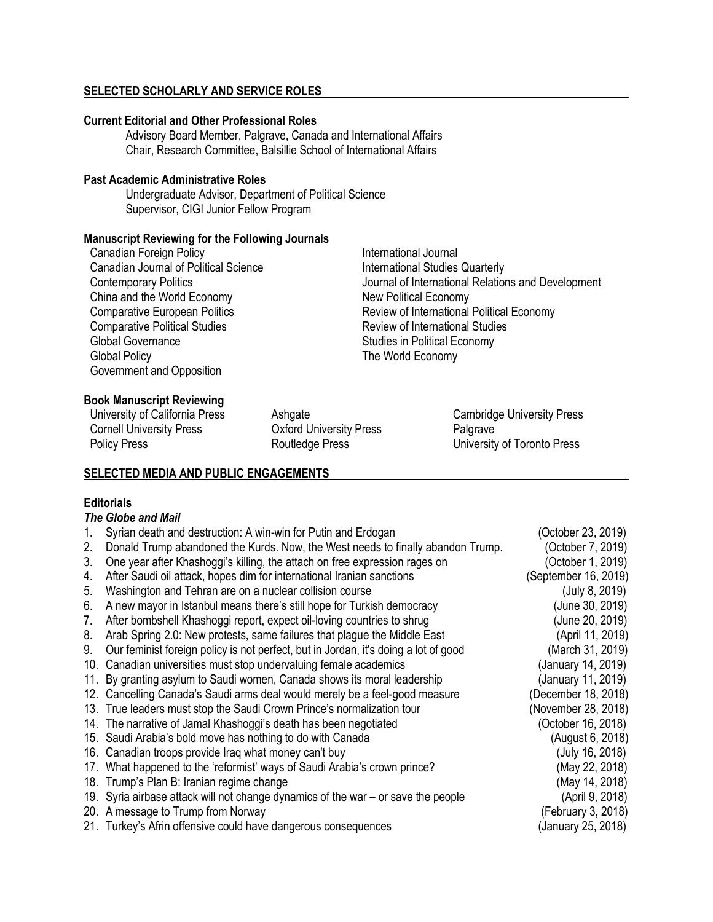### **SELECTED SCHOLARLY AND SERVICE ROLES**

#### **Current Editorial and Other Professional Roles**

Advisory Board Member, Palgrave, Canada and International Affairs Chair, Research Committee, Balsillie School of International Affairs

#### **Past Academic Administrative Roles**

Undergraduate Advisor, Department of Political Science Supervisor, CIGI Junior Fellow Program

#### **Manuscript Reviewing for the Following Journals**

Canadian Foreign Policy **International Journal** Canadian Journal of Political Science **International Studies Quarterly** China and the World Economy New Political Economy Global Governance **Studies** in Political Economy Global Policy **The World Economy** Government and Opposition

Contemporary Politics **Contemporary Politics** Journal of International Relations and Development Comparative European Politics<br>
Comparative Political Studies<br>
Review of International Studies<br>
Review of International Studies Review of International Studies

### **Book Manuscript Reviewing**

University of California Press Ashgate Cambridge University Press Cornell University Press Oxford University Press Palgrave

Policy Press **Policy Press** Routledge Press **University of Toronto Press** 

#### **SELECTED MEDIA AND PUBLIC ENGAGEMENTS**

### **Editorials**

#### *The Globe and Mail*

|    | Syrian death and destruction: A win-win for Putin and Erdogan                       | (October 23, 2019)   |
|----|-------------------------------------------------------------------------------------|----------------------|
| 2. | Donald Trump abandoned the Kurds. Now, the West needs to finally abandon Trump.     | (October 7, 2019)    |
| 3. | One year after Khashoggi's killing, the attach on free expression rages on          | (October 1, 2019)    |
| 4. | After Saudi oil attack, hopes dim for international Iranian sanctions               | (September 16, 2019) |
| 5. | Washington and Tehran are on a nuclear collision course                             | (July 8, 2019)       |
| 6. | A new mayor in Istanbul means there's still hope for Turkish democracy              | (June 30, 2019)      |
| 7. | After bombshell Khashoggi report, expect oil-loving countries to shrug              | (June 20, 2019)      |
| 8. | Arab Spring 2.0: New protests, same failures that plague the Middle East            | (April 11, 2019)     |
| 9. | Our feminist foreign policy is not perfect, but in Jordan, it's doing a lot of good | (March 31, 2019)     |
|    | 10. Canadian universities must stop undervaluing female academics                   | (January 14, 2019)   |
|    | 11. By granting asylum to Saudi women, Canada shows its moral leadership            | (January 11, 2019)   |
|    | 12. Cancelling Canada's Saudi arms deal would merely be a feel-good measure         | (December 18, 2018)  |
|    | 13. True leaders must stop the Saudi Crown Prince's normalization tour              | (November 28, 2018)  |
|    | 14. The narrative of Jamal Khashoggi's death has been negotiated                    | (October 16, 2018)   |
|    | 15. Saudi Arabia's bold move has nothing to do with Canada                          | (August 6, 2018)     |
|    | 16. Canadian troops provide Iraq what money can't buy                               | (July 16, 2018)      |
|    | 17. What happened to the 'reformist' ways of Saudi Arabia's crown prince?           | (May 22, 2018)       |
|    | 18. Trump's Plan B: Iranian regime change                                           | (May 14, 2018)       |
|    | 19. Syria airbase attack will not change dynamics of the war – or save the people   | (April 9, 2018)      |
|    | 20. A message to Trump from Norway                                                  | (February 3, 2018)   |
|    | 21. Turkey's Afrin offensive could have dangerous consequences                      | (January 25, 2018)   |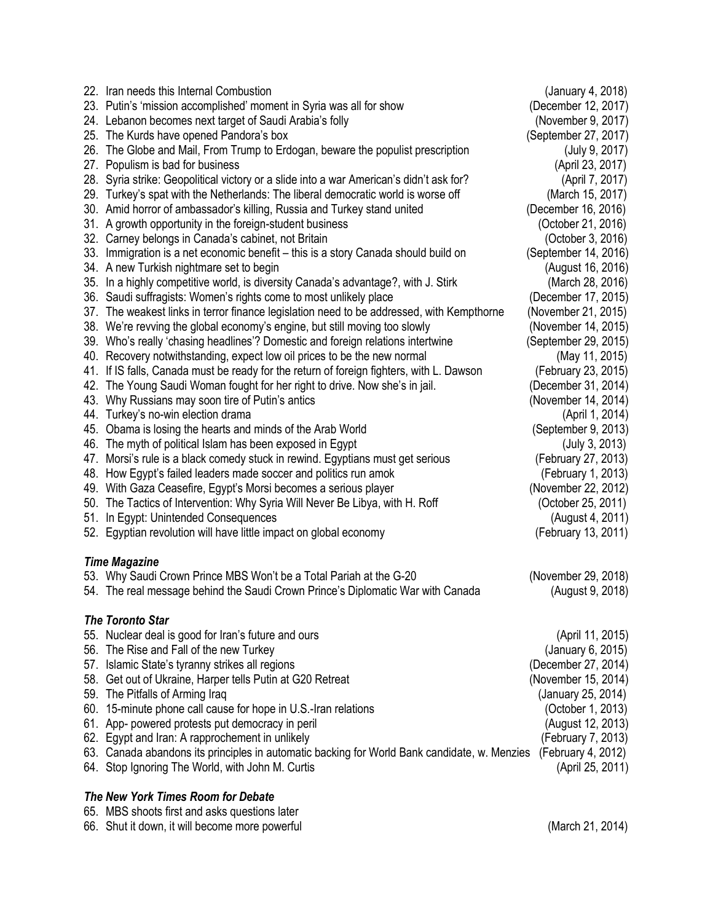| 22. Iran needs this Internal Combustion                                                      | (January 4, 2018)    |  |
|----------------------------------------------------------------------------------------------|----------------------|--|
| 23. Putin's 'mission accomplished' moment in Syria was all for show                          | (December 12, 2017)  |  |
| 24. Lebanon becomes next target of Saudi Arabia's folly                                      | (November 9, 2017)   |  |
| 25. The Kurds have opened Pandora's box                                                      | (September 27, 2017) |  |
| 26. The Globe and Mail, From Trump to Erdogan, beware the populist prescription              | (July 9, 2017)       |  |
| 27. Populism is bad for business                                                             | (April 23, 2017)     |  |
| 28. Syria strike: Geopolitical victory or a slide into a war American's didn't ask for?      | (April 7, 2017)      |  |
| 29. Turkey's spat with the Netherlands: The liberal democratic world is worse off            | (March 15, 2017)     |  |
| 30. Amid horror of ambassador's killing, Russia and Turkey stand united                      | (December 16, 2016)  |  |
| 31. A growth opportunity in the foreign-student business                                     | (October 21, 2016)   |  |
| 32. Carney belongs in Canada's cabinet, not Britain                                          | (October 3, 2016)    |  |
| 33. Immigration is a net economic benefit – this is a story Canada should build on           | (September 14, 2016) |  |
| 34. A new Turkish nightmare set to begin                                                     | (August 16, 2016)    |  |
| 35. In a highly competitive world, is diversity Canada's advantage?, with J. Stirk           | (March 28, 2016)     |  |
| 36. Saudi suffragists: Women's rights come to most unlikely place                            | (December 17, 2015)  |  |
| 37. The weakest links in terror finance legislation need to be addressed, with Kempthorne    | (November 21, 2015)  |  |
| 38. We're revving the global economy's engine, but still moving too slowly                   | (November 14, 2015)  |  |
| 39. Who's really 'chasing headlines'? Domestic and foreign relations intertwine              | (September 29, 2015) |  |
| 40. Recovery notwithstanding, expect low oil prices to be the new normal                     | (May 11, 2015)       |  |
| 41. If IS falls, Canada must be ready for the return of foreign fighters, with L. Dawson     | (February 23, 2015)  |  |
| 42. The Young Saudi Woman fought for her right to drive. Now she's in jail.                  | (December 31, 2014)  |  |
| 43. Why Russians may soon tire of Putin's antics                                             | (November 14, 2014)  |  |
| 44. Turkey's no-win election drama                                                           | (April 1, 2014)      |  |
| 45. Obama is losing the hearts and minds of the Arab World                                   | (September 9, 2013)  |  |
| 46. The myth of political Islam has been exposed in Egypt                                    | (July 3, 2013)       |  |
| 47. Morsi's rule is a black comedy stuck in rewind. Egyptians must get serious               | (February 27, 2013)  |  |
| 48. How Egypt's failed leaders made soccer and politics run amok                             | (February 1, 2013)   |  |
| 49. With Gaza Ceasefire, Egypt's Morsi becomes a serious player                              | (November 22, 2012)  |  |
| 50. The Tactics of Intervention: Why Syria Will Never Be Libya, with H. Roff                 | (October 25, 2011)   |  |
| 51. In Egypt: Unintended Consequences                                                        | (August 4, 2011)     |  |
| 52. Egyptian revolution will have little impact on global economy                            | (February 13, 2011)  |  |
| <b>Time Magazine</b>                                                                         |                      |  |
| 53. Why Saudi Crown Prince MBS Won't be a Total Pariah at the G-20                           | (November 29, 2018)  |  |
| 54. The real message behind the Saudi Crown Prince's Diplomatic War with Canada              | (August 9, 2018)     |  |
| <b>The Toronto Star</b>                                                                      |                      |  |
| 55. Nuclear deal is good for Iran's future and ours                                          | (April 11, 2015)     |  |
| 56. The Rise and Fall of the new Turkey                                                      | (January 6, 2015)    |  |
| 57. Islamic State's tyranny strikes all regions                                              | (December 27, 2014)  |  |
| 58. Get out of Ukraine, Harper tells Putin at G20 Retreat                                    | (November 15, 2014)  |  |
| 59. The Pitfalls of Arming Iraq                                                              | (January 25, 2014)   |  |
| 60. 15-minute phone call cause for hope in U.S.-Iran relations                               | (October 1, 2013)    |  |
| 61. App- powered protests put democracy in peril                                             | (August 12, 2013)    |  |
| 62. Egypt and Iran: A rapprochement in unlikely                                              | (February 7, 2013)   |  |
| 63. Canada abandons its principles in automatic backing for World Bank candidate, w. Menzies | (February 4, 2012)   |  |
| 64. Stop Ignoring The World, with John M. Curtis                                             | (April 25, 2011)     |  |
| The New York Times Room for Debate                                                           |                      |  |
| 65. MBS shoots first and asks questions later                                                |                      |  |
| 66. Shut it down, it will become more powerful                                               | (March 21, 2014)     |  |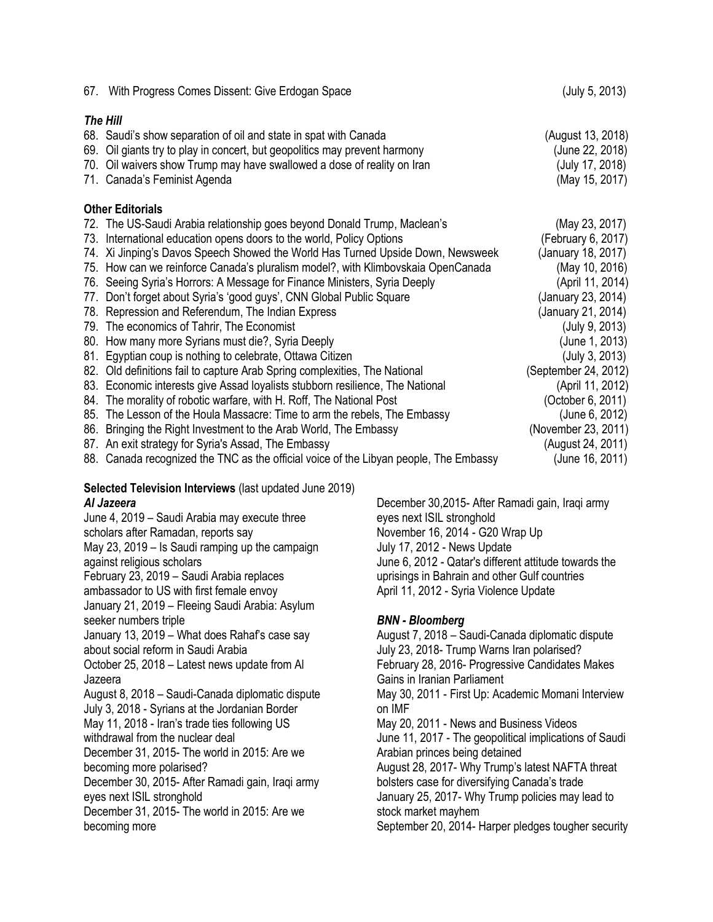| 67. With Progress Comes Dissent: Give Erdogan Space                                   | (July 5, 2013)       |
|---------------------------------------------------------------------------------------|----------------------|
| The Hill                                                                              |                      |
| 68. Saudi's show separation of oil and state in spat with Canada                      | (August 13, 2018)    |
| 69. Oil giants try to play in concert, but geopolitics may prevent harmony            | (June 22, 2018)      |
| 70. Oil waivers show Trump may have swallowed a dose of reality on Iran               | (July 17, 2018)      |
| 71. Canada's Feminist Agenda                                                          | (May 15, 2017)       |
| <b>Other Editorials</b>                                                               |                      |
| 72. The US-Saudi Arabia relationship goes beyond Donald Trump, Maclean's              | (May 23, 2017)       |
| 73. International education opens doors to the world, Policy Options                  | (February 6, 2017)   |
| 74. Xi Jinping's Davos Speech Showed the World Has Turned Upside Down, Newsweek       | (January 18, 2017)   |
| 75. How can we reinforce Canada's pluralism model?, with Klimbovskaia OpenCanada      | (May 10, 2016)       |
| 76. Seeing Syria's Horrors: A Message for Finance Ministers, Syria Deeply             | (April 11, 2014)     |
| 77. Don't forget about Syria's 'good guys', CNN Global Public Square                  | (January 23, 2014)   |
| 78. Repression and Referendum, The Indian Express                                     | (January 21, 2014)   |
| 79. The economics of Tahrir, The Economist                                            | (July 9, 2013)       |
| 80. How many more Syrians must die?, Syria Deeply                                     | (June 1, 2013)       |
| 81. Egyptian coup is nothing to celebrate, Ottawa Citizen                             | (July 3, 2013)       |
| 82. Old definitions fail to capture Arab Spring complexities, The National            | (September 24, 2012) |
| 83. Economic interests give Assad loyalists stubborn resilience, The National         | (April 11, 2012)     |
| 84. The morality of robotic warfare, with H. Roff, The National Post                  | (October 6, 2011)    |
| 85. The Lesson of the Houla Massacre: Time to arm the rebels, The Embassy             | (June 6, 2012)       |
| 86. Bringing the Right Investment to the Arab World, The Embassy                      | (November 23, 2011)  |
| 87. An exit strategy for Syria's Assad, The Embassy                                   | (August 24, 2011)    |
| 88. Canada recognized the TNC as the official voice of the Libyan people, The Embassy | (June 16, 2011)      |

#### **Selected Television Interviews** (last updated June 2019) *Al Jazeera*

June 4, 2019 – Saudi Arabia may execute three scholars after Ramadan, reports say May 23, 2019 – Is Saudi ramping up the campaign against religious scholars February 23, 2019 – Saudi Arabia replaces ambassador to US with first female envoy January 21, 2019 – Fleeing Saudi Arabia: Asylum seeker numbers triple January 13, 2019 – What does Rahaf's case say about social reform in Saudi Arabia October 25, 2018 – Latest news update from Al Jazeera August 8, 2018 – Saudi-Canada diplomatic dispute July 3, 2018 - Syrians at the Jordanian Border May 11, 2018 - Iran's trade ties following US withdrawal from the nuclear deal December 31, 2015- The world in 2015: Are we becoming more polarised? December 30, 2015- After Ramadi gain, Iraqi army eyes next ISIL stronghold December 31, 2015- The world in 2015: Are we becoming more

December 30,2015- After Ramadi gain, Iraqi army eyes next ISIL stronghold November 16, 2014 - G20 Wrap Up July 17, 2012 - News Update June 6, 2012 - Qatar's different attitude towards the uprisings in Bahrain and other Gulf countries April 11, 2012 - Syria Violence Update

### *BNN - Bloomberg*

August 7, 2018 – Saudi-Canada diplomatic dispute July 23, 2018- Trump Warns Iran polarised? February 28, 2016- Progressive Candidates Makes Gains in Iranian Parliament May 30, 2011 - First Up: Academic Momani Interview on IMF May 20, 2011 - News and Business Videos June 11, 2017 - The geopolitical implications of Saudi Arabian princes being detained August 28, 2017- Why Trump's latest NAFTA threat bolsters case for diversifying Canada's trade January 25, 2017- Why Trump policies may lead to stock market mayhem September 20, 2014- Harper pledges tougher security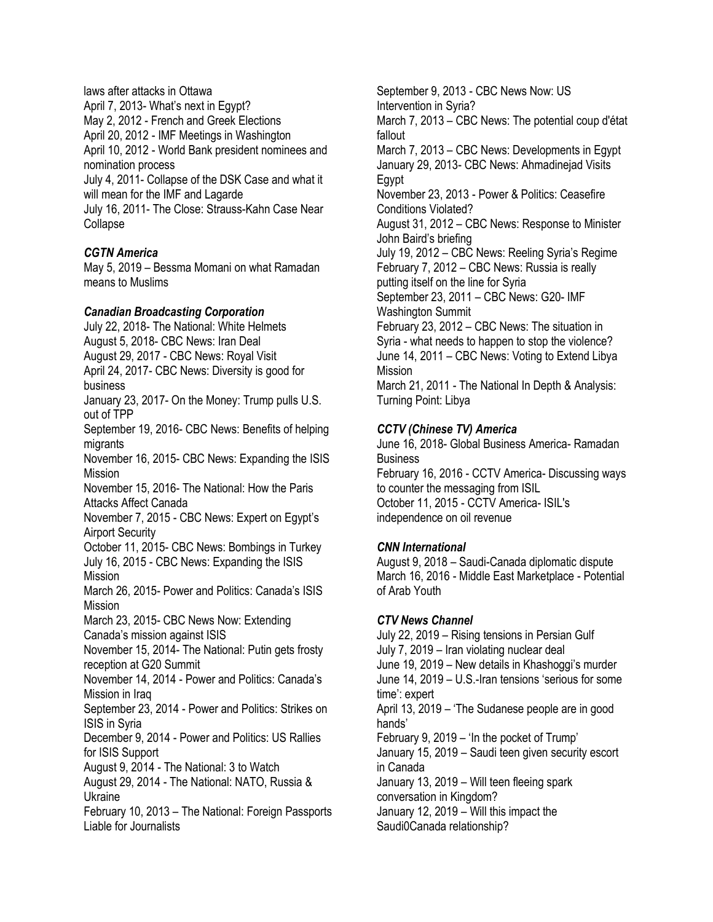laws after attacks in Ottawa April 7, 2013- What's next in Egypt? May 2, 2012 - French and Greek Elections April 20, 2012 - IMF Meetings in Washington April 10, 2012 - World Bank president nominees and nomination process July 4, 2011- Collapse of the DSK Case and what it will mean for the IMF and Lagarde July 16, 2011- The Close: Strauss-Kahn Case Near Collapse

### *CGTN America*

May 5, 2019 – Bessma Momani on what Ramadan means to Muslims

### *Canadian Broadcasting Corporation*

July 22, 2018- The National: White Helmets August 5, 2018- CBC News: Iran Deal August 29, 2017 - CBC News: Royal Visit April 24, 2017- CBC News: Diversity is good for business

January 23, 2017- On the Money: Trump pulls U.S. out of TPP

September 19, 2016- CBC News: Benefits of helping migrants

November 16, 2015- CBC News: Expanding the ISIS Mission

November 15, 2016- The National: How the Paris Attacks Affect Canada

November 7, 2015 - CBC News: Expert on Egypt's Airport Security

October 11, 2015- CBC News: Bombings in Turkey July 16, 2015 - CBC News: Expanding the ISIS Mission

March 26, 2015- Power and Politics: Canada's ISIS Mission

March 23, 2015- CBC News Now: Extending Canada's mission against ISIS

November 15, 2014- The National: Putin gets frosty reception at G20 Summit

November 14, 2014 - Power and Politics: Canada's Mission in Iraq

September 23, 2014 - Power and Politics: Strikes on ISIS in Syria

December 9, 2014 - Power and Politics: US Rallies for ISIS Support

August 9, 2014 - The National: 3 to Watch

August 29, 2014 - The National: NATO, Russia & Ukraine

February 10, 2013 – The National: Foreign Passports Liable for Journalists

September 9, 2013 - CBC News Now: US Intervention in Syria? March 7, 2013 – CBC News: The potential coup d'état fallout March 7, 2013 – CBC News: Developments in Egypt January 29, 2013- CBC News: Ahmadinejad Visits Egypt November 23, 2013 - Power & Politics: Ceasefire Conditions Violated? August 31, 2012 – CBC News: Response to Minister John Baird's briefing July 19, 2012 – CBC News: Reeling Syria's Regime February 7, 2012 – CBC News: Russia is really putting itself on the line for Syria September 23, 2011 – CBC News: G20- IMF Washington Summit February 23, 2012 – CBC News: The situation in Syria - what needs to happen to stop the violence? June 14, 2011 – CBC News: Voting to Extend Libya Mission March 21, 2011 - The National In Depth & Analysis: Turning Point: Libya

### *CCTV (Chinese TV) America*

June 16, 2018- Global Business America- Ramadan **Business** 

February 16, 2016 - CCTV America- Discussing ways to counter the messaging from ISIL October 11, 2015 - CCTV America- ISIL's independence on oil revenue

### *CNN International*

August 9, 2018 – Saudi-Canada diplomatic dispute March 16, 2016 - Middle East Marketplace - Potential of Arab Youth

#### *CTV News Channel*

July 22, 2019 – Rising tensions in Persian Gulf July 7, 2019 – Iran violating nuclear deal June 19, 2019 – New details in Khashoggi's murder June 14, 2019 – U.S.-Iran tensions 'serious for some time': expert April 13, 2019 – 'The Sudanese people are in good hands' February 9, 2019 – 'In the pocket of Trump' January 15, 2019 – Saudi teen given security escort in Canada January 13, 2019 – Will teen fleeing spark conversation in Kingdom? January 12, 2019 – Will this impact the Saudi0Canada relationship?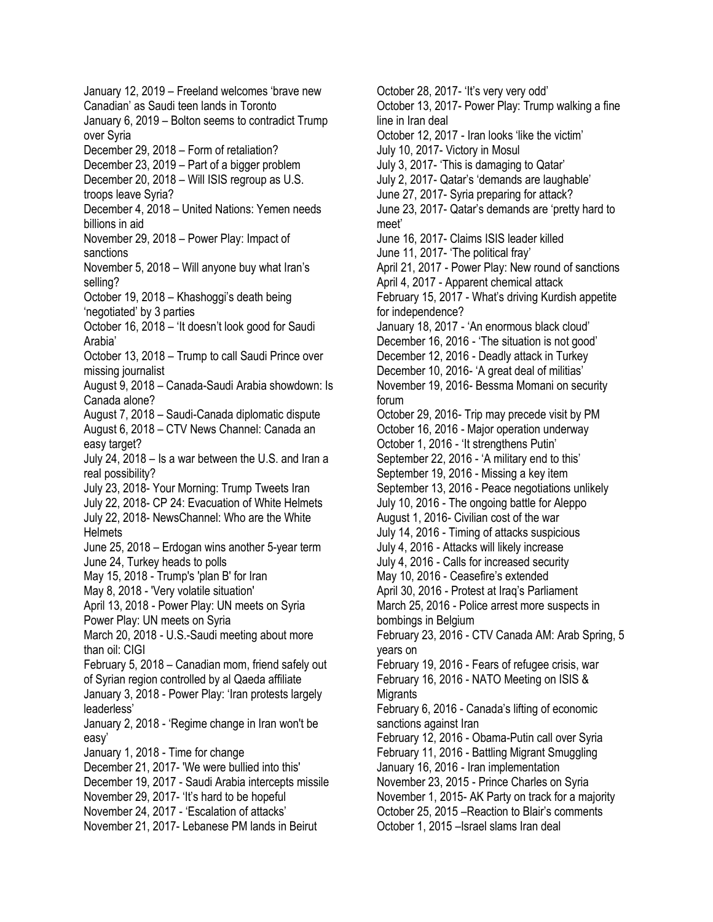January 12, 2019 – Freeland welcomes 'brave new Canadian' as Saudi teen lands in Toronto January 6, 2019 – Bolton seems to contradict Trump over Syria December 29, 2018 – Form of retaliation? December 23, 2019 – Part of a bigger problem December 20, 2018 – Will ISIS regroup as U.S. troops leave Syria? December 4, 2018 – United Nations: Yemen needs billions in aid November 29, 2018 – Power Play: Impact of sanctions November 5, 2018 – Will anyone buy what Iran's selling? October 19, 2018 – Khashoggi's death being 'negotiated' by 3 parties October 16, 2018 – 'It doesn't look good for Saudi Arabia' October 13, 2018 – Trump to call Saudi Prince over missing journalist August 9, 2018 – Canada-Saudi Arabia showdown: Is Canada alone? August 7, 2018 – Saudi-Canada diplomatic dispute August 6, 2018 – CTV News Channel: Canada an easy target? July 24, 2018 – Is a war between the U.S. and Iran a real possibility? July 23, 2018- Your Morning: Trump Tweets Iran July 22, 2018- CP 24: Evacuation of White Helmets July 22, 2018- NewsChannel: Who are the White **Helmets** June 25, 2018 – Erdogan wins another 5-year term June 24, Turkey heads to polls May 15, 2018 - Trump's 'plan B' for Iran May 8, 2018 - 'Very volatile situation' April 13, 2018 - Power Play: UN meets on Syria Power Play: UN meets on Syria March 20, 2018 - U.S.-Saudi meeting about more than oil: CIGI February 5, 2018 – Canadian mom, friend safely out of Syrian region controlled by al Qaeda affiliate January 3, 2018 - Power Play: 'Iran protests largely leaderless' January 2, 2018 - 'Regime change in Iran won't be easy' January 1, 2018 - Time for change December 21, 2017- 'We were bullied into this' December 19, 2017 - Saudi Arabia intercepts missile November 29, 2017- 'It's hard to be hopeful November 24, 2017 - 'Escalation of attacks' November 21, 2017- Lebanese PM lands in Beirut

October 28, 2017- 'It's very very odd' October 13, 2017- Power Play: Trump walking a fine line in Iran deal October 12, 2017 - Iran looks 'like the victim' July 10, 2017- Victory in Mosul July 3, 2017- 'This is damaging to Qatar' July 2, 2017- Qatar's 'demands are laughable' June 27, 2017- Syria preparing for attack? June 23, 2017- Qatar's demands are 'pretty hard to meet' June 16, 2017- Claims ISIS leader killed June 11, 2017- 'The political fray' April 21, 2017 - Power Play: New round of sanctions April 4, 2017 - Apparent chemical attack February 15, 2017 - What's driving Kurdish appetite for independence? January 18, 2017 - 'An enormous black cloud' December 16, 2016 - 'The situation is not good' December 12, 2016 - Deadly attack in Turkey December 10, 2016- 'A great deal of militias' November 19, 2016- Bessma Momani on security forum October 29, 2016- Trip may precede visit by PM October 16, 2016 - Major operation underway October 1, 2016 - 'It strengthens Putin' September 22, 2016 - 'A military end to this' September 19, 2016 - Missing a key item September 13, 2016 - Peace negotiations unlikely July 10, 2016 - The ongoing battle for Aleppo August 1, 2016- Civilian cost of the war July 14, 2016 - Timing of attacks suspicious July 4, 2016 - Attacks will likely increase July 4, 2016 - Calls for increased security May 10, 2016 - Ceasefire's extended April 30, 2016 - Protest at Iraq's Parliament March 25, 2016 - Police arrest more suspects in bombings in Belgium February 23, 2016 - CTV Canada AM: Arab Spring, 5 years on February 19, 2016 - Fears of refugee crisis, war February 16, 2016 - NATO Meeting on ISIS & **Migrants** February 6, 2016 - Canada's lifting of economic sanctions against Iran February 12, 2016 - Obama-Putin call over Syria February 11, 2016 - Battling Migrant Smuggling January 16, 2016 - Iran implementation November 23, 2015 - Prince Charles on Syria November 1, 2015- AK Party on track for a majority October 25, 2015 –Reaction to Blair's comments October 1, 2015 –Israel slams Iran deal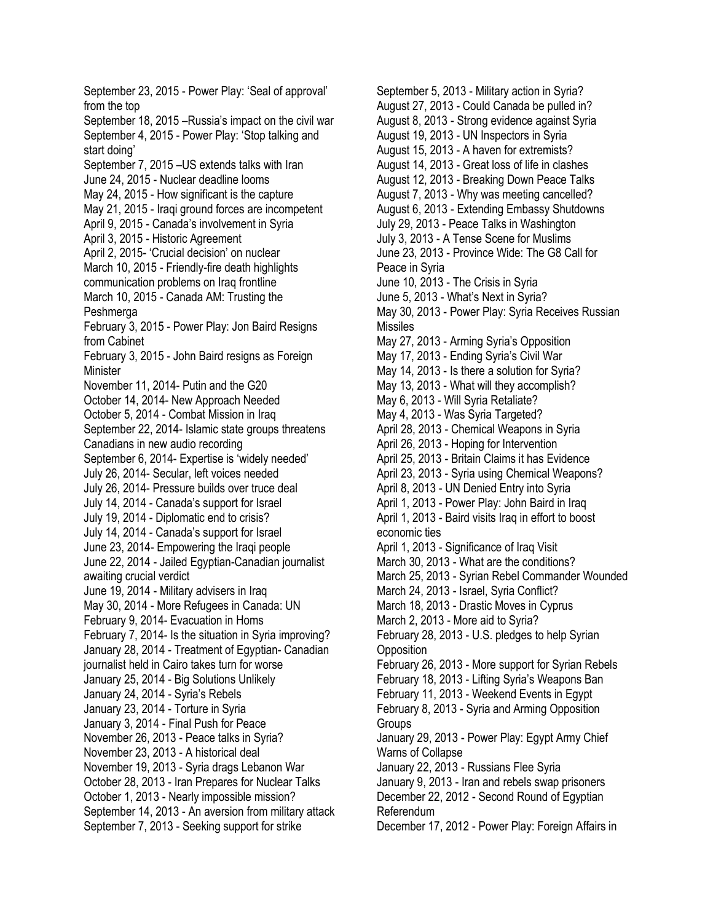September 23, 2015 - Power Play: 'Seal of approval' from the top September 18, 2015 –Russia's impact on the civil war September 4, 2015 - Power Play: 'Stop talking and start doing' September 7, 2015 –US extends talks with Iran June 24, 2015 - Nuclear deadline looms May 24, 2015 - How significant is the capture May 21, 2015 - Iraqi ground forces are incompetent April 9, 2015 - Canada's involvement in Syria April 3, 2015 - Historic Agreement April 2, 2015- 'Crucial decision' on nuclear March 10, 2015 - Friendly-fire death highlights communication problems on Iraq frontline March 10, 2015 - Canada AM: Trusting the Peshmerga February 3, 2015 - Power Play: Jon Baird Resigns from Cabinet February 3, 2015 - John Baird resigns as Foreign Minister November 11, 2014- Putin and the G20 October 14, 2014- New Approach Needed October 5, 2014 - Combat Mission in Iraq September 22, 2014- Islamic state groups threatens Canadians in new audio recording September 6, 2014- Expertise is 'widely needed' July 26, 2014- Secular, left voices needed July 26, 2014- Pressure builds over truce deal July 14, 2014 - Canada's support for Israel July 19, 2014 - Diplomatic end to crisis? July 14, 2014 - Canada's support for Israel June 23, 2014- Empowering the Iraqi people June 22, 2014 - Jailed Egyptian-Canadian journalist awaiting crucial verdict June 19, 2014 - Military advisers in Iraq May 30, 2014 - More Refugees in Canada: UN February 9, 2014- Evacuation in Homs February 7, 2014- Is the situation in Syria improving? January 28, 2014 - Treatment of Egyptian- Canadian journalist held in Cairo takes turn for worse January 25, 2014 - Big Solutions Unlikely January 24, 2014 - Syria's Rebels January 23, 2014 - Torture in Syria January 3, 2014 - Final Push for Peace November 26, 2013 - Peace talks in Syria? November 23, 2013 - A historical deal November 19, 2013 - Syria drags Lebanon War October 28, 2013 - Iran Prepares for Nuclear Talks October 1, 2013 - Nearly impossible mission? September 14, 2013 - An aversion from military attack September 7, 2013 - Seeking support for strike

September 5, 2013 - Military action in Syria? August 27, 2013 - Could Canada be pulled in? August 8, 2013 - Strong evidence against Syria August 19, 2013 - UN Inspectors in Syria August 15, 2013 - A haven for extremists? August 14, 2013 - Great loss of life in clashes August 12, 2013 - Breaking Down Peace Talks August 7, 2013 - Why was meeting cancelled? August 6, 2013 - Extending Embassy Shutdowns July 29, 2013 - Peace Talks in Washington July 3, 2013 - A Tense Scene for Muslims June 23, 2013 - Province Wide: The G8 Call for Peace in Syria June 10, 2013 - The Crisis in Syria June 5, 2013 - What's Next in Syria? May 30, 2013 - Power Play: Syria Receives Russian Missiles May 27, 2013 - Arming Syria's Opposition May 17, 2013 - Ending Syria's Civil War May 14, 2013 - Is there a solution for Syria? May 13, 2013 - What will they accomplish? May 6, 2013 - Will Syria Retaliate? May 4, 2013 - Was Syria Targeted? April 28, 2013 - Chemical Weapons in Syria April 26, 2013 - Hoping for Intervention April 25, 2013 - Britain Claims it has Evidence April 23, 2013 - Syria using Chemical Weapons? April 8, 2013 - UN Denied Entry into Syria April 1, 2013 - Power Play: John Baird in Iraq April 1, 2013 - Baird visits Iraq in effort to boost economic ties April 1, 2013 - Significance of Iraq Visit March 30, 2013 - What are the conditions? March 25, 2013 - Syrian Rebel Commander Wounded March 24, 2013 - Israel, Syria Conflict? March 18, 2013 - Drastic Moves in Cyprus March 2, 2013 - More aid to Syria? February 28, 2013 - U.S. pledges to help Syrian **Opposition** February 26, 2013 - More support for Syrian Rebels February 18, 2013 - Lifting Syria's Weapons Ban February 11, 2013 - Weekend Events in Egypt February 8, 2013 - Syria and Arming Opposition **Groups** January 29, 2013 - Power Play: Egypt Army Chief Warns of Collapse January 22, 2013 - Russians Flee Syria January 9, 2013 - Iran and rebels swap prisoners December 22, 2012 - Second Round of Egyptian Referendum December 17, 2012 - Power Play: Foreign Affairs in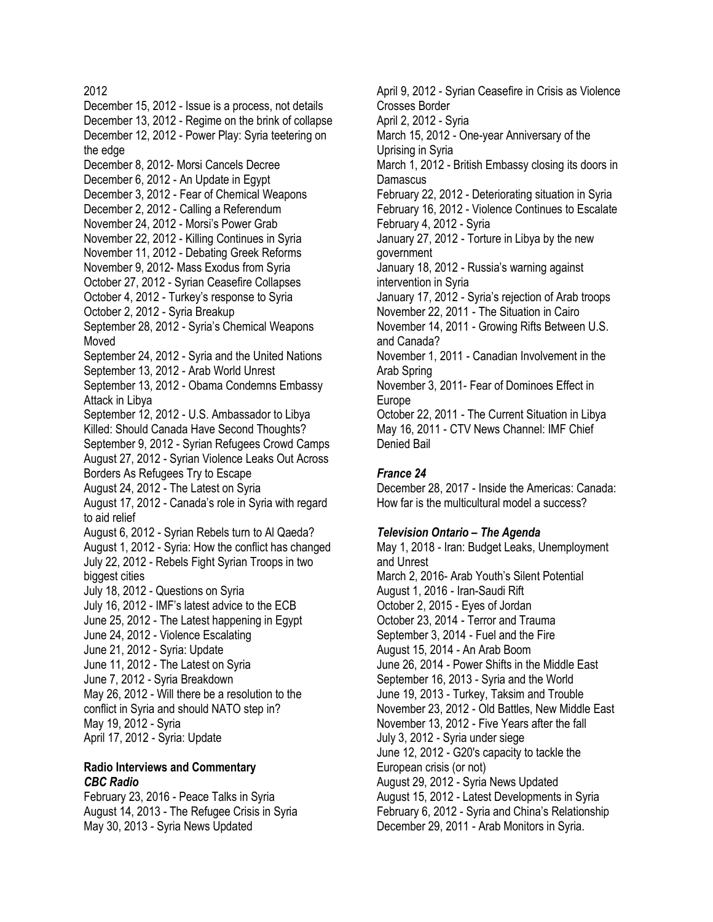December 15, 2012 - Issue is a process, not details December 13, 2012 - Regime on the brink of collapse December 12, 2012 - Power Play: Syria teetering on the edge December 8, 2012- Morsi Cancels Decree December 6, 2012 - An Update in Egypt December 3, 2012 - Fear of Chemical Weapons December 2, 2012 - Calling a Referendum November 24, 2012 - Morsi's Power Grab November 22, 2012 - Killing Continues in Syria November 11, 2012 - Debating Greek Reforms November 9, 2012- Mass Exodus from Syria October 27, 2012 - Syrian Ceasefire Collapses October 4, 2012 - Turkey's response to Syria October 2, 2012 - Syria Breakup September 28, 2012 - Syria's Chemical Weapons Moved September 24, 2012 - Syria and the United Nations September 13, 2012 - Arab World Unrest September 13, 2012 - Obama Condemns Embassy Attack in Libya September 12, 2012 - U.S. Ambassador to Libya Killed: Should Canada Have Second Thoughts? September 9, 2012 - Syrian Refugees Crowd Camps August 27, 2012 - Syrian Violence Leaks Out Across Borders As Refugees Try to Escape August 24, 2012 - The Latest on Syria August 17, 2012 - Canada's role in Syria with regard to aid relief August 6, 2012 - Syrian Rebels turn to Al Qaeda? August 1, 2012 - Syria: How the conflict has changed July 22, 2012 - Rebels Fight Syrian Troops in two biggest cities July 18, 2012 - Questions on Syria July 16, 2012 - IMF's latest advice to the ECB June 25, 2012 - The Latest happening in Egypt June 24, 2012 - Violence Escalating June 21, 2012 - Syria: Update June 11, 2012 - The Latest on Syria June 7, 2012 - Syria Breakdown May 26, 2012 - Will there be a resolution to the conflict in Syria and should NATO step in? May 19, 2012 - Syria April 17, 2012 - Syria: Update

### **Radio Interviews and Commentary**  *CBC Radio*

February 23, 2016 - Peace Talks in Syria August 14, 2013 - The Refugee Crisis in Syria May 30, 2013 - Syria News Updated

April 9, 2012 - Syrian Ceasefire in Crisis as Violence Crosses Border April 2, 2012 - Syria March 15, 2012 - One-year Anniversary of the Uprising in Syria March 1, 2012 - British Embassy closing its doors in Damascus February 22, 2012 - Deteriorating situation in Syria February 16, 2012 - Violence Continues to Escalate February 4, 2012 - Syria January 27, 2012 - Torture in Libya by the new government January 18, 2012 - Russia's warning against intervention in Syria January 17, 2012 - Syria's rejection of Arab troops November 22, 2011 - The Situation in Cairo November 14, 2011 - Growing Rifts Between U.S. and Canada? November 1, 2011 - Canadian Involvement in the Arab Spring November 3, 2011- Fear of Dominoes Effect in Europe October 22, 2011 - The Current Situation in Libya May 16, 2011 - CTV News Channel: IMF Chief Denied Bail

#### *France 24*

December 28, 2017 - Inside the Americas: Canada: How far is the multicultural model a success?

#### *Television Ontario – The Agenda*

May 1, 2018 - Iran: Budget Leaks, Unemployment and Unrest March 2, 2016- Arab Youth's Silent Potential August 1, 2016 - Iran-Saudi Rift October 2, 2015 - Eyes of Jordan October 23, 2014 - Terror and Trauma September 3, 2014 - Fuel and the Fire August 15, 2014 - An Arab Boom June 26, 2014 - Power Shifts in the Middle East September 16, 2013 - Syria and the World June 19, 2013 - Turkey, Taksim and Trouble November 23, 2012 - Old Battles, New Middle East November 13, 2012 - Five Years after the fall July 3, 2012 - Syria under siege June 12, 2012 - G20's capacity to tackle the European crisis (or not) August 29, 2012 - Syria News Updated August 15, 2012 - Latest Developments in Syria February 6, 2012 - Syria and China's Relationship December 29, 2011 - Arab Monitors in Syria.

### 2012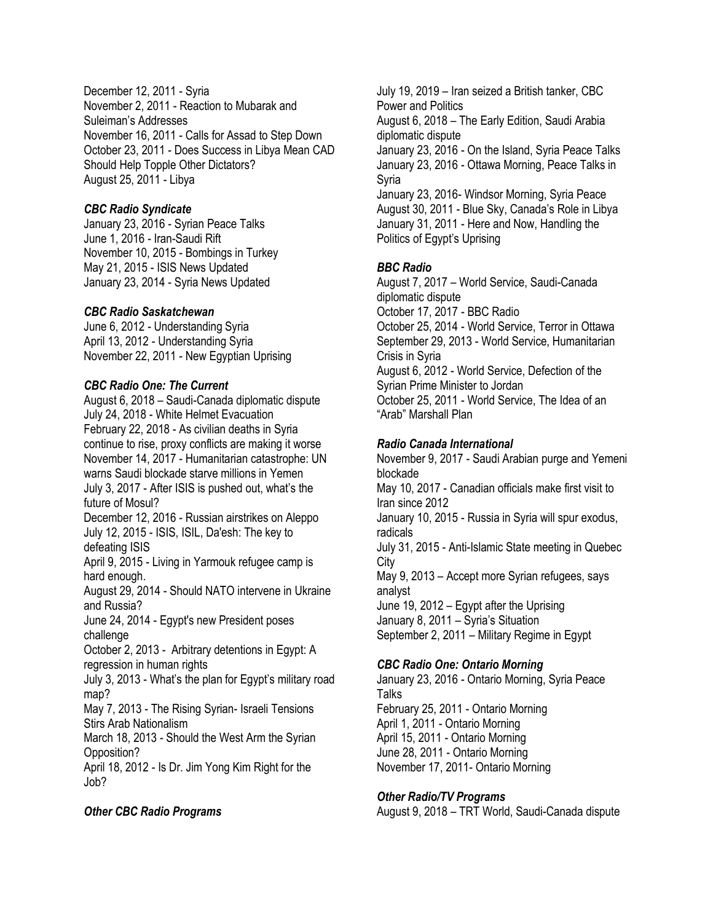December 12, 2011 - Syria November 2, 2011 - Reaction to Mubarak and Suleiman's Addresses November 16, 2011 - Calls for Assad to Step Down October 23, 2011 - Does Success in Libya Mean CAD Should Help Topple Other Dictators? August 25, 2011 - Libya

# *CBC Radio Syndicate*

January 23, 2016 - Syrian Peace Talks June 1, 2016 - Iran-Saudi Rift November 10, 2015 - Bombings in Turkey May 21, 2015 - ISIS News Updated January 23, 2014 - Syria News Updated

# *CBC Radio Saskatchewan*

June 6, 2012 - Understanding Syria April 13, 2012 - Understanding Syria November 22, 2011 - New Egyptian Uprising

# *CBC Radio One: The Current*

August 6, 2018 – Saudi-Canada diplomatic dispute July 24, 2018 - White Helmet Evacuation February 22, 2018 - As civilian deaths in Syria continue to rise, proxy conflicts are making it worse November 14, 2017 - Humanitarian catastrophe: UN warns Saudi blockade starve millions in Yemen July 3, 2017 - After ISIS is pushed out, what's the future of Mosul? December 12, 2016 - Russian airstrikes on Aleppo July 12, 2015 - ISIS, ISIL, Da'esh: The key to defeating ISIS April 9, 2015 - Living in Yarmouk refugee camp is hard enough. August 29, 2014 - Should NATO intervene in Ukraine and Russia? June 24, 2014 - Egypt's new President poses challenge October 2, 2013 - Arbitrary detentions in Egypt: A regression in human rights July 3, 2013 - What's the plan for Egypt's military road map? May 7, 2013 - The Rising Syrian- Israeli Tensions Stirs Arab Nationalism March 18, 2013 - Should the West Arm the Syrian Opposition? April 18, 2012 - Is Dr. Jim Yong Kim Right for the Job?

### *Other CBC Radio Programs*

July 19, 2019 – Iran seized a British tanker, CBC Power and Politics August 6, 2018 – The Early Edition, Saudi Arabia diplomatic dispute January 23, 2016 - On the Island, Syria Peace Talks January 23, 2016 - Ottawa Morning, Peace Talks in Syria January 23, 2016- Windsor Morning, Syria Peace August 30, 2011 - Blue Sky, Canada's Role in Libya January 31, 2011 - Here and Now, Handling the Politics of Egypt's Uprising

# *BBC Radio*

August 7, 2017 – World Service, Saudi-Canada diplomatic dispute October 17, 2017 - BBC Radio October 25, 2014 - World Service, Terror in Ottawa September 29, 2013 - World Service, Humanitarian Crisis in Syria August 6, 2012 - World Service, Defection of the Syrian Prime Minister to Jordan October 25, 2011 - World Service, The Idea of an "Arab" Marshall Plan

### *Radio Canada International*

November 9, 2017 - Saudi Arabian purge and Yemeni blockade May 10, 2017 - Canadian officials make first visit to Iran since 2012 January 10, 2015 - Russia in Syria will spur exodus, radicals July 31, 2015 - Anti-Islamic State meeting in Quebec City May 9, 2013 – Accept more Syrian refugees, says analyst June 19, 2012 – Egypt after the Uprising January 8, 2011 – Syria's Situation September 2, 2011 – Military Regime in Egypt

### *CBC Radio One: Ontario Morning*

January 23, 2016 - Ontario Morning, Syria Peace **Talks** February 25, 2011 - Ontario Morning April 1, 2011 - Ontario Morning April 15, 2011 - Ontario Morning June 28, 2011 - Ontario Morning November 17, 2011- Ontario Morning

# *Other Radio/TV Programs*

August 9, 2018 – TRT World, Saudi-Canada dispute